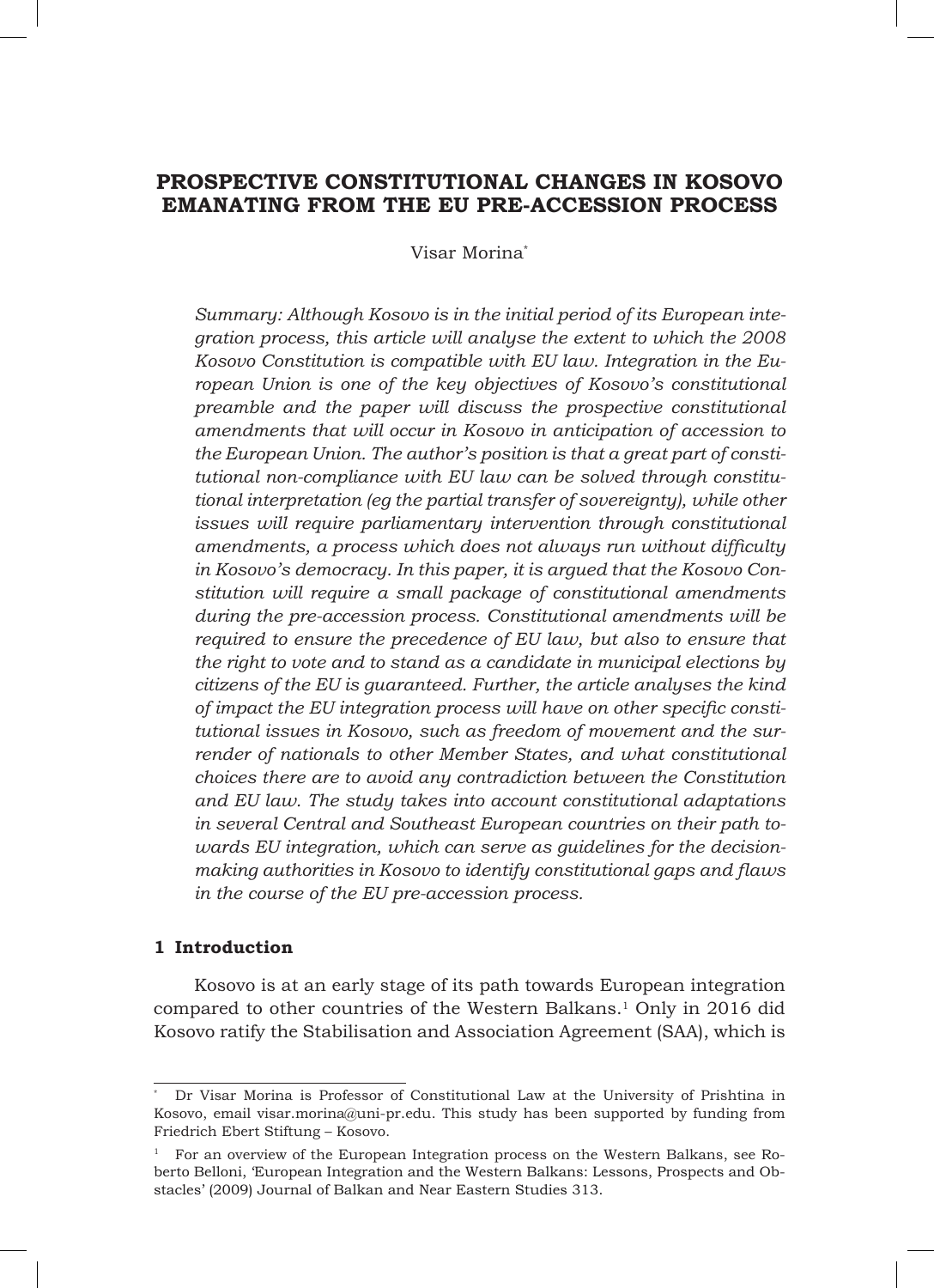# **PROSPECTIVE CONSTITUTIONAL CHANGES IN KOSOVO EMANATING FROM THE EU PRE-ACCESSION PROCESS**

Visar Morina\*

*Summary: Although Kosovo is in the initial period of its European integration process, this article will analyse the extent to which the 2008 Kosovo Constitution is compatible with EU law. Integration in the European Union is one of the key objectives of Kosovo's constitutional preamble and the paper will discuss the prospective constitutional amendments that will occur in Kosovo in anticipation of accession to the European Union. The author's position is that a great part of constitutional non-compliance with EU law can be solved through constitutional interpretation (eg the partial transfer of sovereignty), while other issues will require parliamentary intervention through constitutional amendments, a process which does not always run without difficulty in Kosovo's democracy. In this paper, it is argued that the Kosovo Constitution will require a small package of constitutional amendments during the pre-accession process. Constitutional amendments will be required to ensure the precedence of EU law, but also to ensure that the right to vote and to stand as a candidate in municipal elections by citizens of the EU is guaranteed. Further, the article analyses the kind of impact the EU integration process will have on other specific constitutional issues in Kosovo, such as freedom of movement and the surrender of nationals to other Member States, and what constitutional choices there are to avoid any contradiction between the Constitution and EU law. The study takes into account constitutional adaptations in several Central and Southeast European countries on their path towards EU integration, which can serve as guidelines for the decisionmaking authorities in Kosovo to identify constitutional gaps and flaws in the course of the EU pre-accession process.* 

# **1 Introduction**

Kosovo is at an early stage of its path towards European integration compared to other countries of the Western Balkans.1 Only in 2016 did Kosovo ratify the Stabilisation and Association Agreement (SAA), which is

<sup>\*</sup> Dr Visar Morina is Professor of Constitutional Law at the University of Prishtina in Kosovo, email visar.morina@uni-pr.edu. This study has been supported by funding from Friedrich Ebert Stiftung – Kosovo.

<sup>1</sup> For an overview of the European Integration process on the Western Balkans, see Roberto Belloni, 'European Integration and the Western Balkans: Lessons, Prospects and Obstacles' (2009) Journal of Balkan and Near Eastern Studies 313.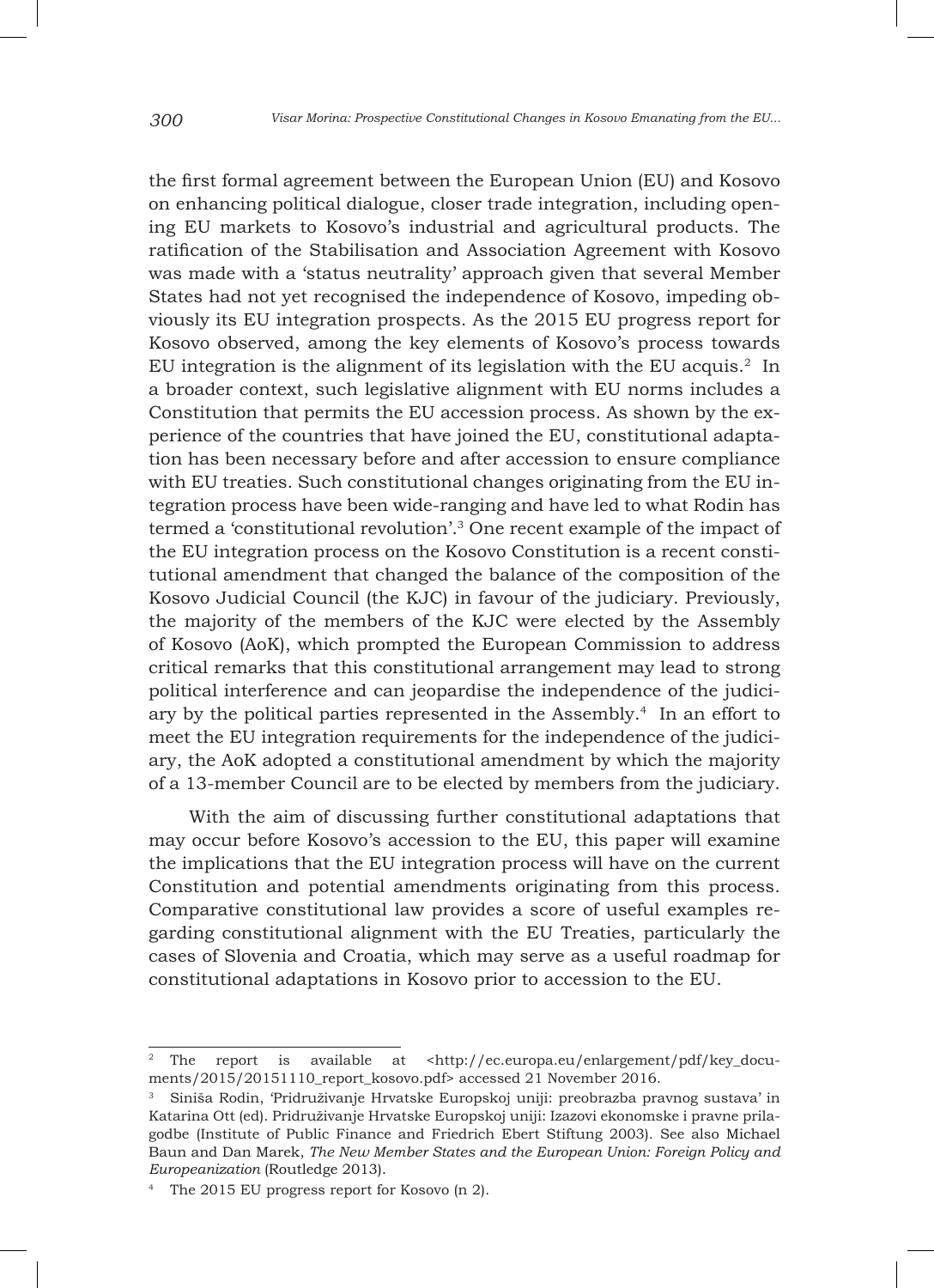the first formal agreement between the European Union (EU) and Kosovo on enhancing political dialogue, closer trade integration, including opening EU markets to Kosovo's industrial and agricultural products. The ratification of the Stabilisation and Association Agreement with Kosovo was made with a 'status neutrality' approach given that several Member States had not yet recognised the independence of Kosovo, impeding obviously its EU integration prospects. As the 2015 EU progress report for Kosovo observed, among the key elements of Kosovo's process towards EU integration is the alignment of its legislation with the EU acquis.2 In a broader context, such legislative alignment with EU norms includes a Constitution that permits the EU accession process. As shown by the experience of the countries that have joined the EU, constitutional adaptation has been necessary before and after accession to ensure compliance with EU treaties. Such constitutional changes originating from the EU integration process have been wide-ranging and have led to what Rodin has termed a 'constitutional revolution'.3 One recent example of the impact of the EU integration process on the Kosovo Constitution is a recent constitutional amendment that changed the balance of the composition of the Kosovo Judicial Council (the KJC) in favour of the judiciary. Previously, the majority of the members of the KJC were elected by the Assembly of Kosovo (AoK), which prompted the European Commission to address critical remarks that this constitutional arrangement may lead to strong political interference and can jeopardise the independence of the judiciary by the political parties represented in the Assembly.4 In an effort to meet the EU integration requirements for the independence of the judiciary, the AoK adopted a constitutional amendment by which the majority of a 13-member Council are to be elected by members from the judiciary.

With the aim of discussing further constitutional adaptations that may occur before Kosovo's accession to the EU, this paper will examine the implications that the EU integration process will have on the current Constitution and potential amendments originating from this process. Comparative constitutional law provides a score of useful examples regarding constitutional alignment with the EU Treaties, particularly the cases of Slovenia and Croatia, which may serve as a useful roadmap for constitutional adaptations in Kosovo prior to accession to the EU.

The report is available at <http://ec.europa.eu/enlargement/pdf/key\_documents/2015/20151110\_report\_kosovo.pdf> accessed 21 November 2016.

<sup>3</sup> Siniša Rodin, 'Pridruživanje Hrvatske Europskoj uniji: preobrazba pravnog sustava' in Katarina Ott (ed). Pridruživanje Hrvatske Europskoj uniji: Izazovi ekonomske i pravne prilagodbe (Institute of Public Finance and Friedrich Ebert Stiftung 2003). See also Michael Baun and Dan Marek, *The New Member States and the European Union: Foreign Policy and Europeanization* (Routledge 2013).

<sup>4</sup> The 2015 EU progress report for Kosovo (n 2).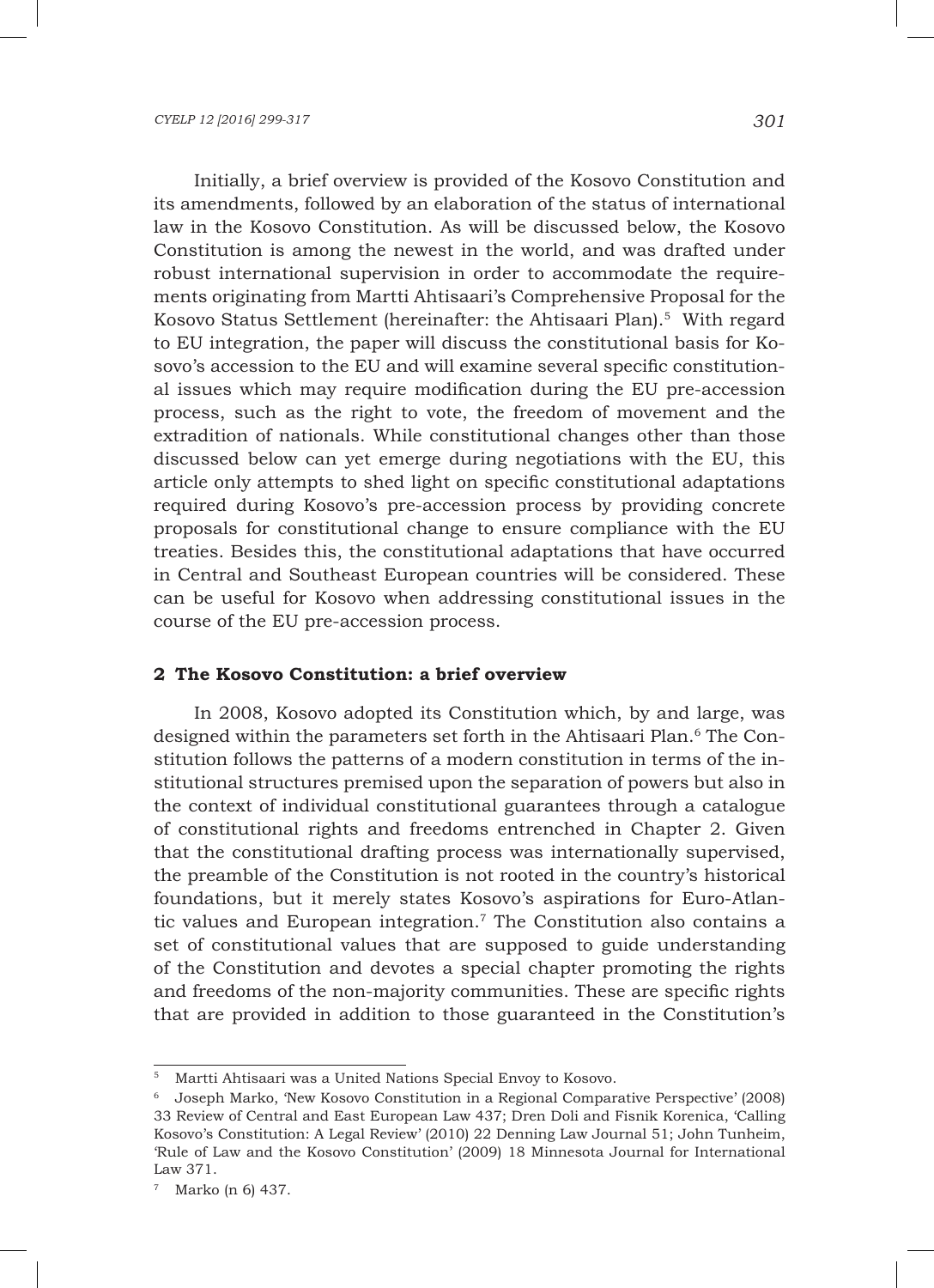Initially, a brief overview is provided of the Kosovo Constitution and its amendments, followed by an elaboration of the status of international law in the Kosovo Constitution. As will be discussed below, the Kosovo Constitution is among the newest in the world, and was drafted under robust international supervision in order to accommodate the requirements originating from Martti Ahtisaari's Comprehensive Proposal for the Kosovo Status Settlement (hereinafter: the Ahtisaari Plan).5 With regard to EU integration, the paper will discuss the constitutional basis for Kosovo's accession to the EU and will examine several specific constitutional issues which may require modification during the EU pre-accession process, such as the right to vote, the freedom of movement and the extradition of nationals. While constitutional changes other than those discussed below can yet emerge during negotiations with the EU, this article only attempts to shed light on specific constitutional adaptations required during Kosovo's pre-accession process by providing concrete proposals for constitutional change to ensure compliance with the EU treaties. Besides this, the constitutional adaptations that have occurred in Central and Southeast European countries will be considered. These can be useful for Kosovo when addressing constitutional issues in the course of the EU pre-accession process.

# **2 The Kosovo Constitution: a brief overview**

In 2008, Kosovo adopted its Constitution which, by and large, was designed within the parameters set forth in the Ahtisaari Plan.<sup>6</sup> The Constitution follows the patterns of a modern constitution in terms of the institutional structures premised upon the separation of powers but also in the context of individual constitutional guarantees through a catalogue of constitutional rights and freedoms entrenched in Chapter 2. Given that the constitutional drafting process was internationally supervised, the preamble of the Constitution is not rooted in the country's historical foundations, but it merely states Kosovo's aspirations for Euro-Atlantic values and European integration.7 The Constitution also contains a set of constitutional values that are supposed to guide understanding of the Constitution and devotes a special chapter promoting the rights and freedoms of the non-majority communities. These are specific rights that are provided in addition to those guaranteed in the Constitution's

<sup>5</sup> Martti Ahtisaari was a United Nations Special Envoy to Kosovo.

<sup>6</sup> Joseph Marko, 'New Kosovo Constitution in a Regional Comparative Perspective' (2008) 33 Review of Central and East European Law 437; Dren Doli and Fisnik Korenica, 'Calling Kosovo's Constitution: A Legal Review' (2010) 22 Denning Law Journal 51; John Tunheim, 'Rule of Law and the Kosovo Constitution' (2009) 18 Minnesota Journal for International Law 371.

<sup>7</sup> Marko (n 6) 437.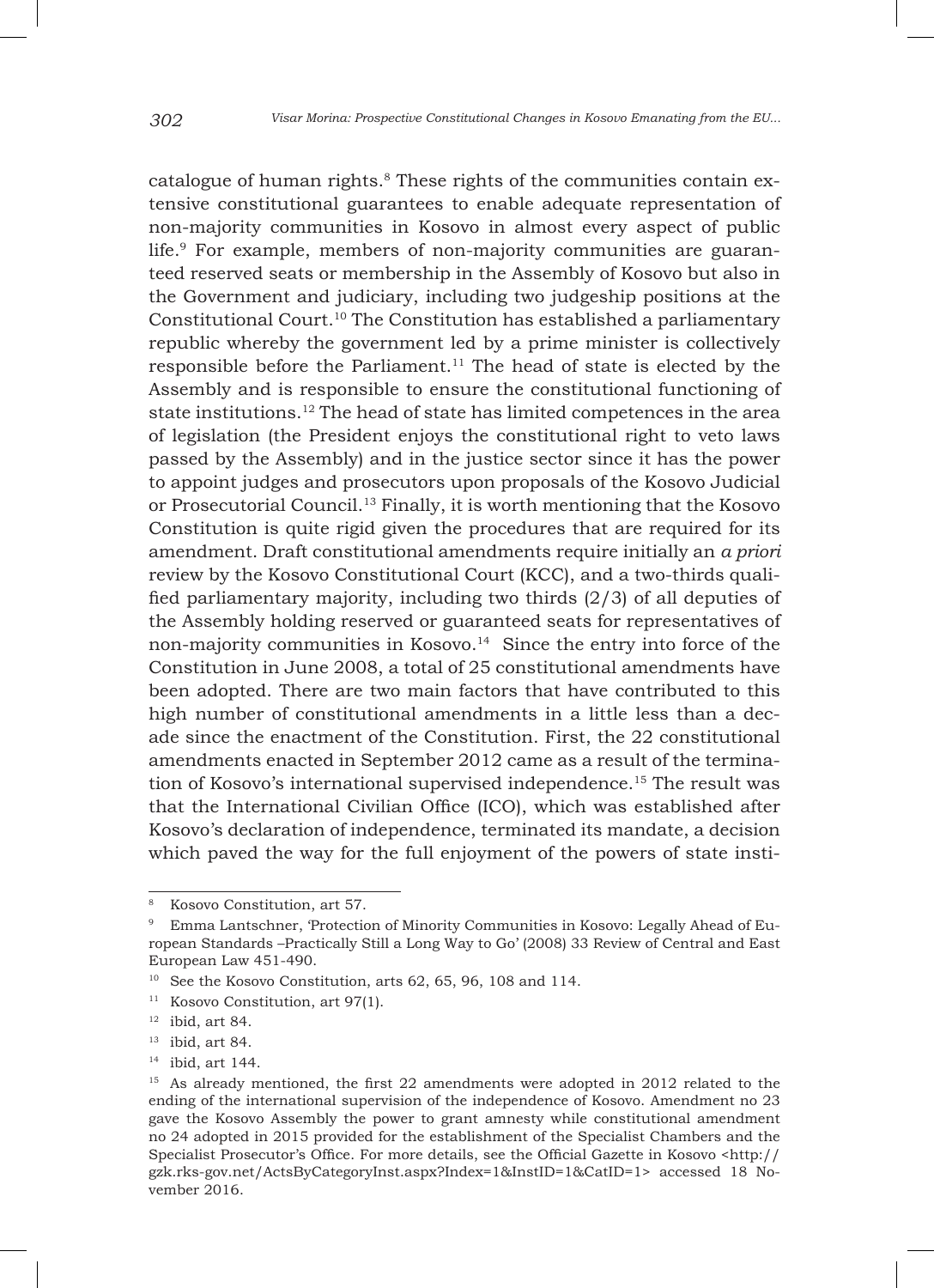catalogue of human rights.<sup>8</sup> These rights of the communities contain extensive constitutional guarantees to enable adequate representation of non-majority communities in Kosovo in almost every aspect of public life.9 For example, members of non-majority communities are guaranteed reserved seats or membership in the Assembly of Kosovo but also in the Government and judiciary, including two judgeship positions at the Constitutional Court.10 The Constitution has established a parliamentary republic whereby the government led by a prime minister is collectively responsible before the Parliament.<sup>11</sup> The head of state is elected by the Assembly and is responsible to ensure the constitutional functioning of state institutions.<sup>12</sup> The head of state has limited competences in the area of legislation (the President enjoys the constitutional right to veto laws passed by the Assembly) and in the justice sector since it has the power to appoint judges and prosecutors upon proposals of the Kosovo Judicial or Prosecutorial Council.13 Finally, it is worth mentioning that the Kosovo Constitution is quite rigid given the procedures that are required for its amendment. Draft constitutional amendments require initially an *a priori* review by the Kosovo Constitutional Court (KCC), and a two-thirds qualified parliamentary majority, including two thirds (2/3) of all deputies of the Assembly holding reserved or guaranteed seats for representatives of non-majority communities in Kosovo.<sup>14</sup> Since the entry into force of the Constitution in June 2008, a total of 25 constitutional amendments have been adopted. There are two main factors that have contributed to this high number of constitutional amendments in a little less than a decade since the enactment of the Constitution. First, the 22 constitutional amendments enacted in September 2012 came as a result of the termination of Kosovo's international supervised independence.15 The result was that the International Civilian Office (ICO), which was established after Kosovo's declaration of independence, terminated its mandate, a decision which paved the way for the full enjoyment of the powers of state insti-

<sup>8</sup> Kosovo Constitution, art 57.

<sup>9</sup> Emma Lantschner, 'Protection of Minority Communities in Kosovo: Legally Ahead of European Standards –Practically Still a Long Way to Go' (2008) 33 Review of Central and East European Law 451-490.

<sup>&</sup>lt;sup>10</sup> See the Kosovo Constitution, arts 62, 65, 96, 108 and 114.

<sup>&</sup>lt;sup>11</sup> Kosovo Constitution, art 97(1).

 $12$  ibid, art 84.

 $13$  ibid, art 84.

<sup>14</sup> ibid, art 144.

<sup>15</sup> As already mentioned, the first 22 amendments were adopted in 2012 related to the ending of the international supervision of the independence of Kosovo. Amendment no 23 gave the Kosovo Assembly the power to grant amnesty while constitutional amendment no 24 adopted in 2015 provided for the establishment of the Specialist Chambers and the Specialist Prosecutor's Office. For more details, see the Official Gazette in Kosovo <http:// gzk.rks-gov.net/ActsByCategoryInst.aspx?Index=1&InstID=1&CatID=1> accessed 18 November 2016.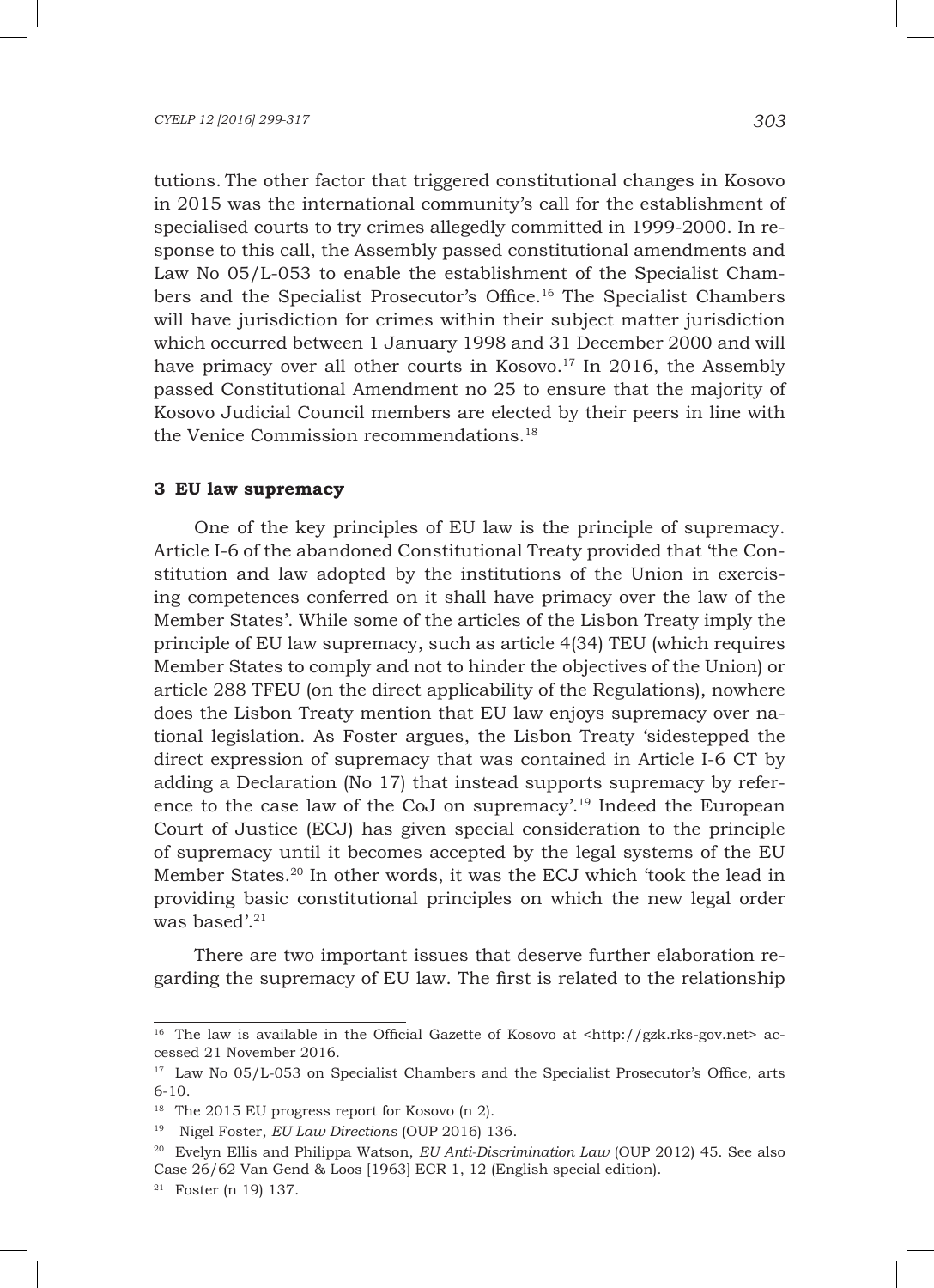tutions. The other factor that triggered constitutional changes in Kosovo in 2015 was the international community's call for the establishment of specialised courts to try crimes allegedly committed in 1999-2000. In response to this call, the Assembly passed constitutional amendments and Law No 05/L-053 to enable the establishment of the Specialist Chambers and the Specialist Prosecutor's Office.16 The Specialist Chambers will have jurisdiction for crimes within their subject matter jurisdiction which occurred between 1 January 1998 and 31 December 2000 and will have primacy over all other courts in Kosovo.<sup>17</sup> In 2016, the Assembly passed Constitutional Amendment no 25 to ensure that the majority of Kosovo Judicial Council members are elected by their peers in line with the Venice Commission recommendations.<sup>18</sup>

### **3 EU law supremacy**

One of the key principles of EU law is the principle of supremacy. Article I-6 of the abandoned Constitutional Treaty provided that 'the Constitution and law adopted by the institutions of the Union in exercising competences conferred on it shall have primacy over the law of the Member States'. While some of the articles of the Lisbon Treaty imply the principle of EU law supremacy, such as article 4(34) TEU (which requires Member States to comply and not to hinder the objectives of the Union) or article 288 TFEU (on the direct applicability of the Regulations), nowhere does the Lisbon Treaty mention that EU law enjoys supremacy over national legislation. As Foster argues, the Lisbon Treaty 'sidestepped the direct expression of supremacy that was contained in Article I-6 CT by adding a Declaration (No 17) that instead supports supremacy by reference to the case law of the CoJ on supremacy'.19 Indeed the European Court of Justice (ECJ) has given special consideration to the principle of supremacy until it becomes accepted by the legal systems of the EU Member States.20 In other words, it was the ECJ which 'took the lead in providing basic constitutional principles on which the new legal order was based'.<sup>21</sup>

There are two important issues that deserve further elaboration regarding the supremacy of EU law. The first is related to the relationship

<sup>&</sup>lt;sup>16</sup> The law is available in the Official Gazette of Kosovo at  $\text{th}(t)/gzk.rks-gov.net$  accessed 21 November 2016.

<sup>&</sup>lt;sup>17</sup> Law No 05/L-053 on Specialist Chambers and the Specialist Prosecutor's Office, arts 6-10.

<sup>&</sup>lt;sup>18</sup> The 2015 EU progress report for Kosovo (n 2).

<sup>19</sup> Nigel Foster, *EU Law Directions* (OUP 2016) 136.

<sup>20</sup> Evelyn Ellis and Philippa Watson, *EU Anti-Discrimination Law* (OUP 2012) 45. See also Case 26/62 Van Gend & Loos [1963] ECR 1, 12 (English special edition).

<sup>21</sup> Foster (n 19) 137.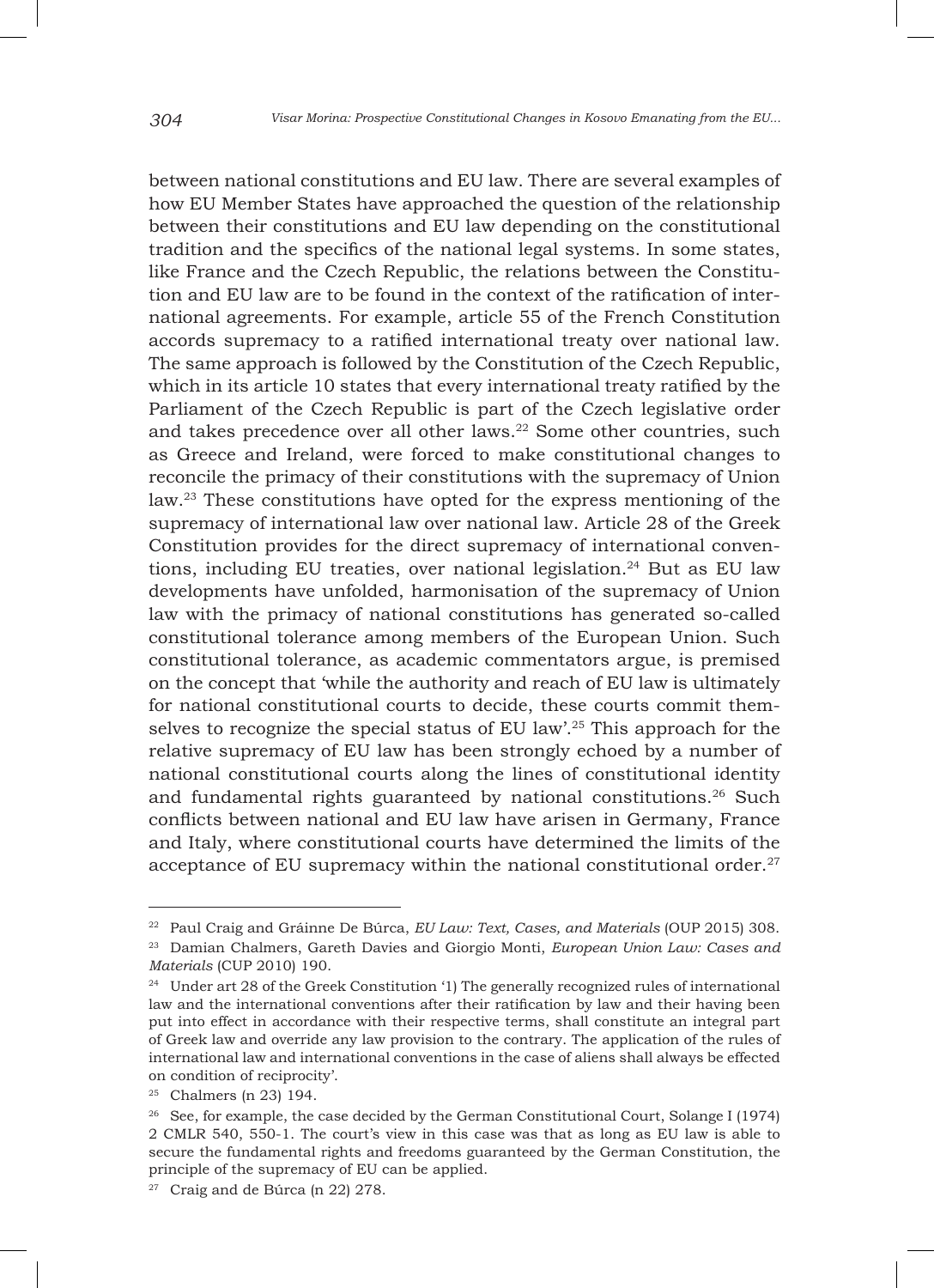between national constitutions and EU law. There are several examples of how EU Member States have approached the question of the relationship between their constitutions and EU law depending on the constitutional tradition and the specifics of the national legal systems. In some states, like France and the Czech Republic, the relations between the Constitution and EU law are to be found in the context of the ratification of international agreements. For example, article 55 of the French Constitution accords supremacy to a ratified international treaty over national law. The same approach is followed by the Constitution of the Czech Republic, which in its article 10 states that every international treaty ratified by the Parliament of the Czech Republic is part of the Czech legislative order and takes precedence over all other laws.<sup>22</sup> Some other countries, such as Greece and Ireland, were forced to make constitutional changes to reconcile the primacy of their constitutions with the supremacy of Union law.23 These constitutions have opted for the express mentioning of the supremacy of international law over national law. Article 28 of the Greek Constitution provides for the direct supremacy of international conventions, including EU treaties, over national legislation.<sup>24</sup> But as EU law developments have unfolded, harmonisation of the supremacy of Union law with the primacy of national constitutions has generated so-called constitutional tolerance among members of the European Union. Such constitutional tolerance, as academic commentators argue, is premised on the concept that 'while the authority and reach of EU law is ultimately for national constitutional courts to decide, these courts commit themselves to recognize the special status of EU law'.25 This approach for the relative supremacy of EU law has been strongly echoed by a number of national constitutional courts along the lines of constitutional identity and fundamental rights guaranteed by national constitutions.<sup>26</sup> Such conflicts between national and EU law have arisen in Germany, France and Italy, where constitutional courts have determined the limits of the acceptance of EU supremacy within the national constitutional order. $27$ 

<sup>22</sup> Paul Craig and Gráinne De Búrca, *EU Law: Text, Cases, and Materials* (OUP 2015) 308.

<sup>23</sup> Damian Chalmers, Gareth Davies and Giorgio Monti, *European Union Law: Cases and Materials* (CUP 2010) 190.

<sup>&</sup>lt;sup>24</sup> Under art 28 of the Greek Constitution '1) The generally recognized rules of international law and the international conventions after their ratification by law and their having been put into effect in accordance with their respective terms, shall constitute an integral part of Greek law and override any law provision to the contrary. The application of the rules of international law and international conventions in the case of aliens shall always be effected on condition of reciprocity'.

<sup>25</sup> Chalmers (n 23) 194.

<sup>&</sup>lt;sup>26</sup> See, for example, the case decided by the German Constitutional Court, Solange I (1974) 2 CMLR 540, 550-1. The court's view in this case was that as long as EU law is able to secure the fundamental rights and freedoms guaranteed by the German Constitution, the principle of the supremacy of EU can be applied.

 $27$  Craig and de Búrca (n 22) 278.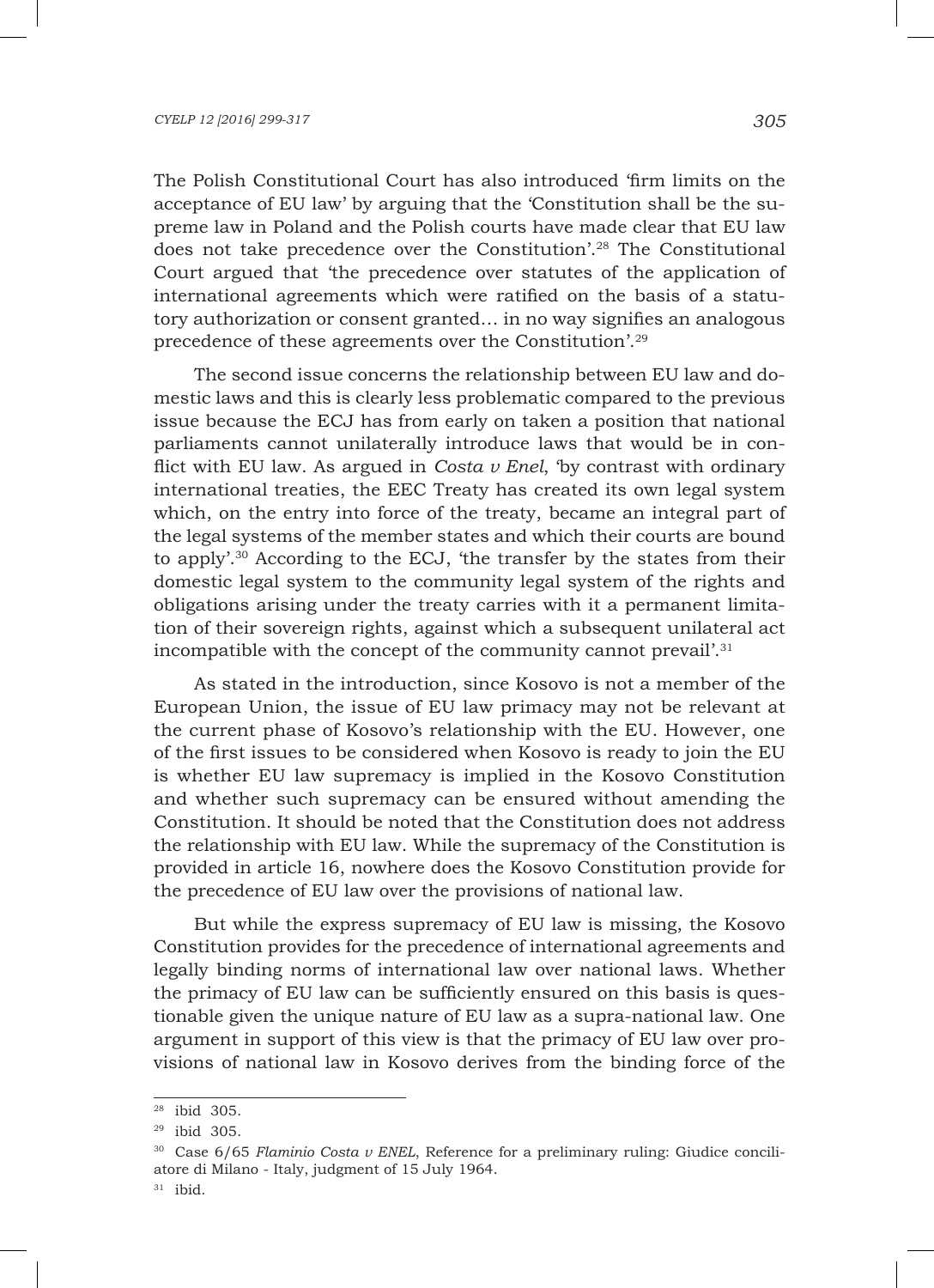#### *CYELP 12 [2016] 299-317 305*

The Polish Constitutional Court has also introduced 'firm limits on the acceptance of EU law' by arguing that the 'Constitution shall be the supreme law in Poland and the Polish courts have made clear that EU law does not take precedence over the Constitution'.28 The Constitutional Court argued that 'the precedence over statutes of the application of international agreements which were ratified on the basis of a statutory authorization or consent granted… in no way signifies an analogous precedence of these agreements over the Constitution'.29

The second issue concerns the relationship between EU law and domestic laws and this is clearly less problematic compared to the previous issue because the ECJ has from early on taken a position that national parliaments cannot unilaterally introduce laws that would be in conflict with EU law. As argued in *Costa v Enel*, 'by contrast with ordinary international treaties, the EEC Treaty has created its own legal system which, on the entry into force of the treaty, became an integral part of the legal systems of the member states and which their courts are bound to apply'.30 According to the ECJ, 'the transfer by the states from their domestic legal system to the community legal system of the rights and obligations arising under the treaty carries with it a permanent limitation of their sovereign rights, against which a subsequent unilateral act incompatible with the concept of the community cannot prevail'.<sup>31</sup>

As stated in the introduction, since Kosovo is not a member of the European Union, the issue of EU law primacy may not be relevant at the current phase of Kosovo's relationship with the EU. However, one of the first issues to be considered when Kosovo is ready to join the EU is whether EU law supremacy is implied in the Kosovo Constitution and whether such supremacy can be ensured without amending the Constitution. It should be noted that the Constitution does not address the relationship with EU law. While the supremacy of the Constitution is provided in article 16, nowhere does the Kosovo Constitution provide for the precedence of EU law over the provisions of national law.

But while the express supremacy of EU law is missing, the Kosovo Constitution provides for the precedence of international agreements and legally binding norms of international law over national laws. Whether the primacy of EU law can be sufficiently ensured on this basis is questionable given the unique nature of EU law as a supra-national law. One argument in support of this view is that the primacy of EU law over provisions of national law in Kosovo derives from the binding force of the

<sup>28</sup> ibid 305.

<sup>29</sup> ibid 305.

<sup>30</sup> Case 6/65 *Flaminio Costa v ENEL*, Reference for a preliminary ruling: Giudice conciliatore di Milano - Italy, judgment of 15 July 1964.

 $31$  ibid.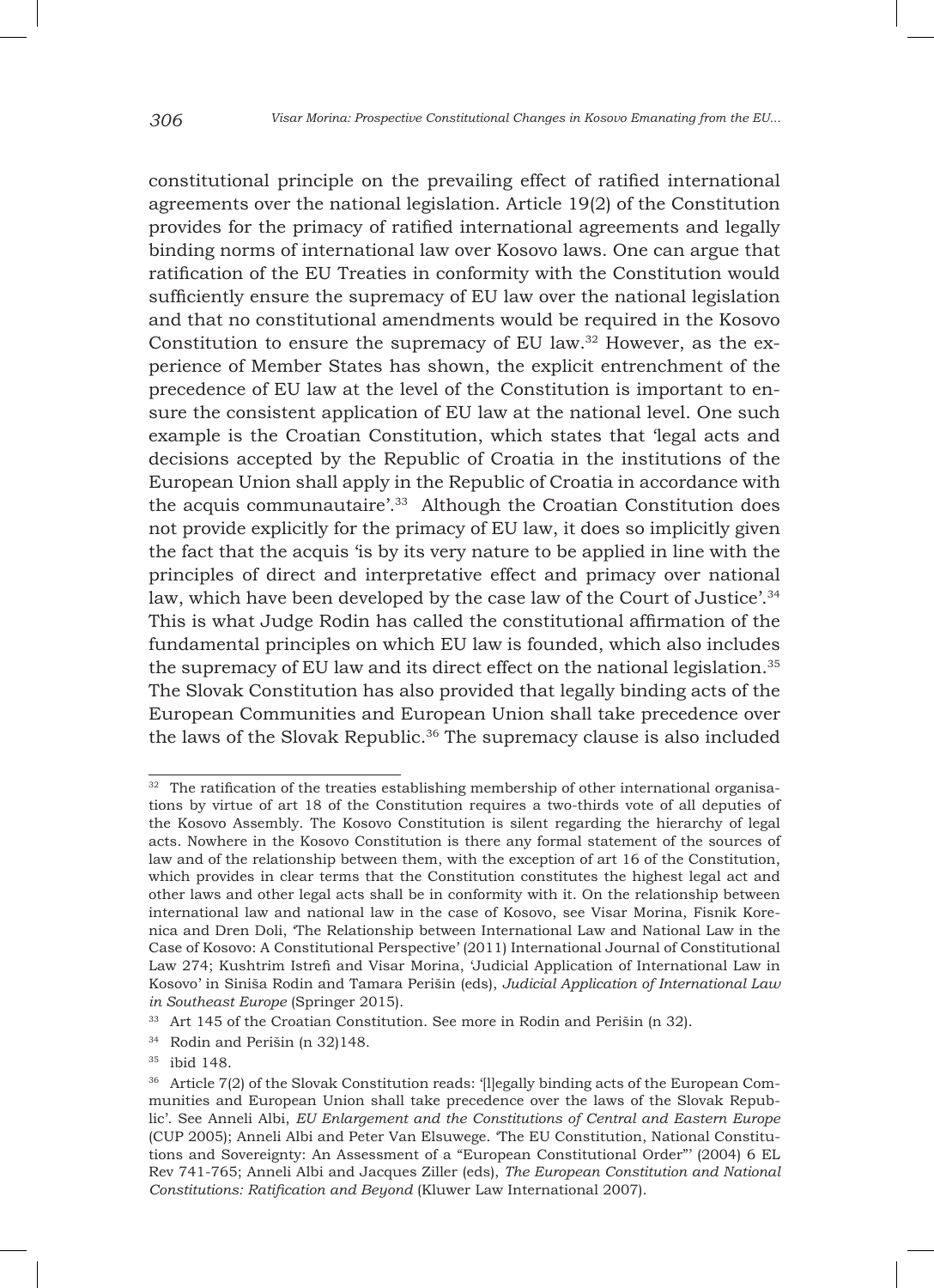constitutional principle on the prevailing effect of ratified international agreements over the national legislation. Article 19(2) of the Constitution provides for the primacy of ratified international agreements and legally binding norms of international law over Kosovo laws. One can argue that ratification of the EU Treaties in conformity with the Constitution would sufficiently ensure the supremacy of EU law over the national legislation and that no constitutional amendments would be required in the Kosovo Constitution to ensure the supremacy of EU law. $32$  However, as the experience of Member States has shown, the explicit entrenchment of the precedence of EU law at the level of the Constitution is important to ensure the consistent application of EU law at the national level. One such example is the Croatian Constitution, which states that 'legal acts and decisions accepted by the Republic of Croatia in the institutions of the European Union shall apply in the Republic of Croatia in accordance with the acquis communautaire'.33 Although the Croatian Constitution does not provide explicitly for the primacy of EU law, it does so implicitly given the fact that the acquis 'is by its very nature to be applied in line with the principles of direct and interpretative effect and primacy over national law, which have been developed by the case law of the Court of Justice'.<sup>34</sup> This is what Judge Rodin has called the constitutional affirmation of the fundamental principles on which EU law is founded, which also includes the supremacy of EU law and its direct effect on the national legislation.35 The Slovak Constitution has also provided that legally binding acts of the European Communities and European Union shall take precedence over the laws of the Slovak Republic.<sup>36</sup> The supremacy clause is also included

<sup>&</sup>lt;sup>32</sup> The ratification of the treaties establishing membership of other international organisations by virtue of art 18 of the Constitution requires a two-thirds vote of all deputies of the Kosovo Assembly. The Kosovo Constitution is silent regarding the hierarchy of legal acts. Nowhere in the Kosovo Constitution is there any formal statement of the sources of law and of the relationship between them, with the exception of art 16 of the Constitution, which provides in clear terms that the Constitution constitutes the highest legal act and other laws and other legal acts shall be in conformity with it. On the relationship between international law and national law in the case of Kosovo, see Visar Morina, Fisnik Korenica and Dren Doli, 'The Relationship between International Law and National Law in the Case of Kosovo: A Constitutional Perspective' (2011) International Journal of Constitutional Law 274; Kushtrim Istrefi and Visar Morina, 'Judicial Application of International Law in Kosovo' in Siniša Rodin and Tamara Perišin (eds), *Judicial Application of International Law in Southeast Europe* (Springer 2015).

<sup>&</sup>lt;sup>33</sup> Art 145 of the Croatian Constitution. See more in Rodin and Perišin (n 32).

<sup>34</sup> Rodin and Perišin (n 32)148.

<sup>35</sup> ibid 148.

<sup>&</sup>lt;sup>36</sup> Article 7(2) of the Slovak Constitution reads: '[l]egally binding acts of the European Communities and European Union shall take precedence over the laws of the Slovak Republic'. See Anneli Albi, *EU Enlargement and the Constitutions of Central and Eastern Europe* (CUP 2005); Anneli Albi and Peter Van Elsuwege. 'The EU Constitution, National Constitutions and Sovereignty: An Assessment of a "European Constitutional Order"' (2004) 6 EL Rev 741-765; Anneli Albi and Jacques Ziller (eds), *The European Constitution and National Constitutions: Ratification and Beyond* (Kluwer Law International 2007).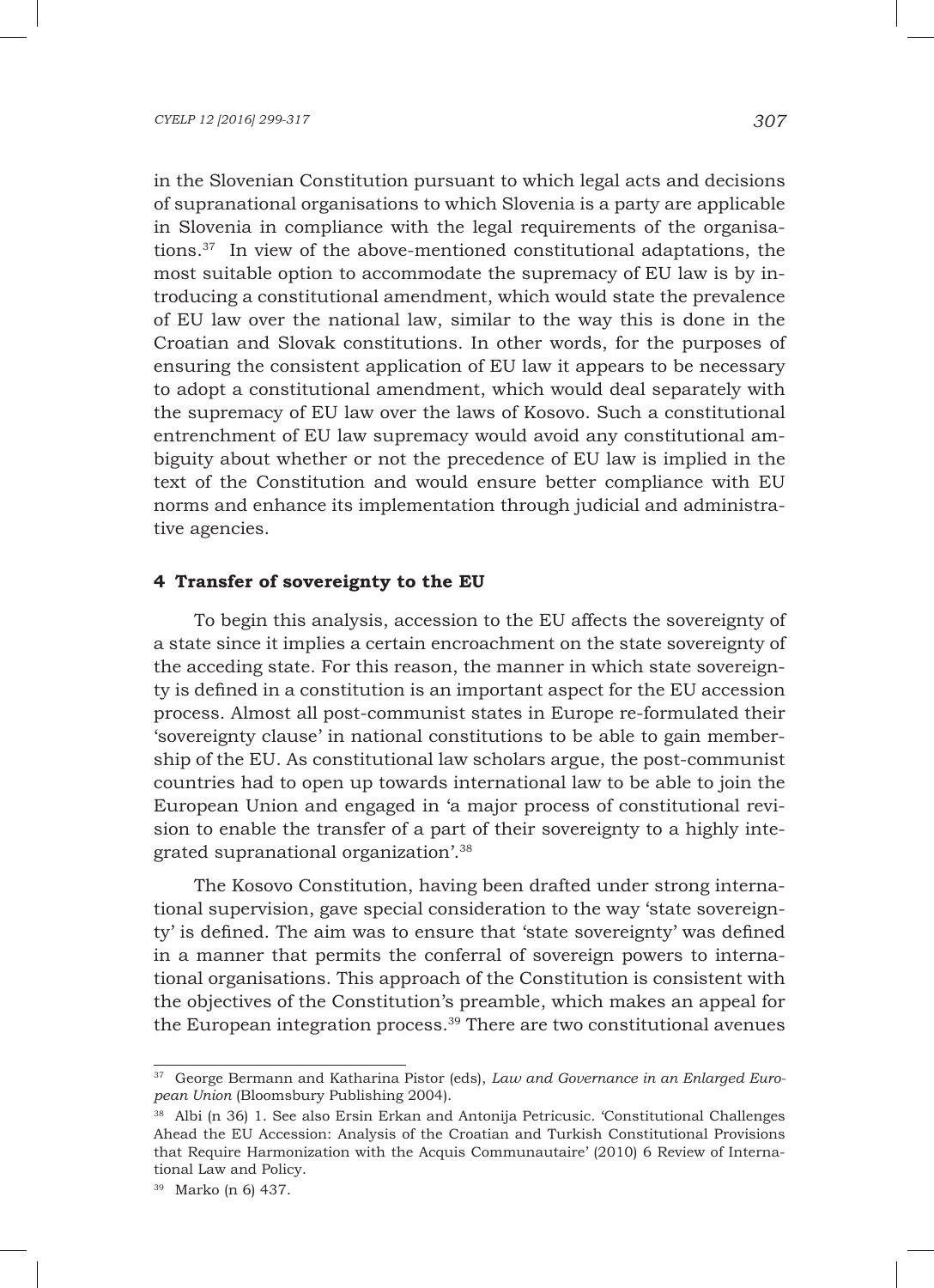in the Slovenian Constitution pursuant to which legal acts and decisions of supranational organisations to which Slovenia is a party are applicable in Slovenia in compliance with the legal requirements of the organisations.37 In view of the above-mentioned constitutional adaptations, the most suitable option to accommodate the supremacy of EU law is by introducing a constitutional amendment, which would state the prevalence of EU law over the national law, similar to the way this is done in the Croatian and Slovak constitutions. In other words, for the purposes of ensuring the consistent application of EU law it appears to be necessary to adopt a constitutional amendment, which would deal separately with the supremacy of EU law over the laws of Kosovo. Such a constitutional entrenchment of EU law supremacy would avoid any constitutional ambiguity about whether or not the precedence of EU law is implied in the text of the Constitution and would ensure better compliance with EU norms and enhance its implementation through judicial and administrative agencies.

# **4 Transfer of sovereignty to the EU**

To begin this analysis, accession to the EU affects the sovereignty of a state since it implies a certain encroachment on the state sovereignty of the acceding state. For this reason, the manner in which state sovereignty is defined in a constitution is an important aspect for the EU accession process. Almost all post-communist states in Europe re-formulated their 'sovereignty clause' in national constitutions to be able to gain membership of the EU. As constitutional law scholars argue, the post-communist countries had to open up towards international law to be able to join the European Union and engaged in 'a major process of constitutional revision to enable the transfer of a part of their sovereignty to a highly integrated supranational organization'.38

The Kosovo Constitution, having been drafted under strong international supervision, gave special consideration to the way 'state sovereignty' is defined. The aim was to ensure that 'state sovereignty' was defined in a manner that permits the conferral of sovereign powers to international organisations. This approach of the Constitution is consistent with the objectives of the Constitution's preamble, which makes an appeal for the European integration process.<sup>39</sup> There are two constitutional avenues

<sup>37</sup> George Bermann and Katharina Pistor (eds), *Law and Governance in an Enlarged European Union* (Bloomsbury Publishing 2004).

<sup>38</sup> Albi (n 36) 1. See also Ersin Erkan and Antonija Petricusic. 'Constitutional Challenges Ahead the EU Accession: Analysis of the Croatian and Turkish Constitutional Provisions that Require Harmonization with the Acquis Communautaire' (2010) 6 Review of International Law and Policy.

<sup>39</sup> Marko (n 6) 437.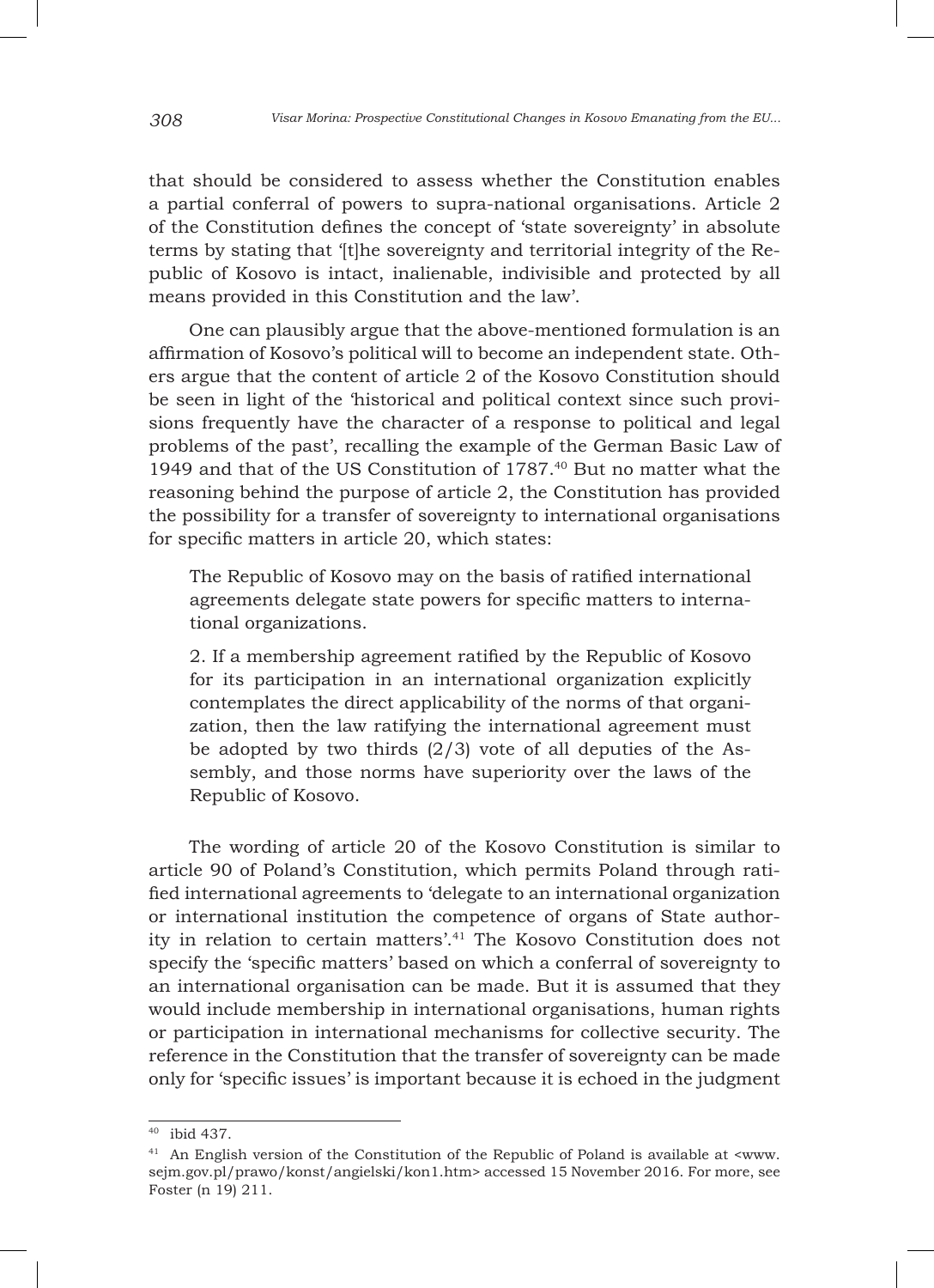that should be considered to assess whether the Constitution enables a partial conferral of powers to supra-national organisations. Article 2 of the Constitution defines the concept of 'state sovereignty' in absolute terms by stating that '[t]he sovereignty and territorial integrity of the Republic of Kosovo is intact, inalienable, indivisible and protected by all means provided in this Constitution and the law'.

One can plausibly argue that the above-mentioned formulation is an affirmation of Kosovo's political will to become an independent state. Others argue that the content of article 2 of the Kosovo Constitution should be seen in light of the 'historical and political context since such provisions frequently have the character of a response to political and legal problems of the past', recalling the example of the German Basic Law of 1949 and that of the US Constitution of 1787.40 But no matter what the reasoning behind the purpose of article 2, the Constitution has provided the possibility for a transfer of sovereignty to international organisations for specific matters in article 20, which states:

The Republic of Kosovo may on the basis of ratified international agreements delegate state powers for specific matters to international organizations.

2. If a membership agreement ratified by the Republic of Kosovo for its participation in an international organization explicitly contemplates the direct applicability of the norms of that organization, then the law ratifying the international agreement must be adopted by two thirds  $(2/3)$  vote of all deputies of the Assembly, and those norms have superiority over the laws of the Republic of Kosovo.

The wording of article 20 of the Kosovo Constitution is similar to article 90 of Poland's Constitution, which permits Poland through ratified international agreements to 'delegate to an international organization or international institution the competence of organs of State authority in relation to certain matters'.41 The Kosovo Constitution does not specify the 'specific matters' based on which a conferral of sovereignty to an international organisation can be made. But it is assumed that they would include membership in international organisations, human rights or participation in international mechanisms for collective security. The reference in the Constitution that the transfer of sovereignty can be made only for 'specific issues' is important because it is echoed in the judgment

<sup>40</sup> ibid 437.

<sup>41</sup> An English version of the Constitution of the Republic of Poland is available at <www. sejm.gov.pl/prawo/konst/angielski/kon1.htm> accessed 15 November 2016. For more, see Foster (n 19) 211.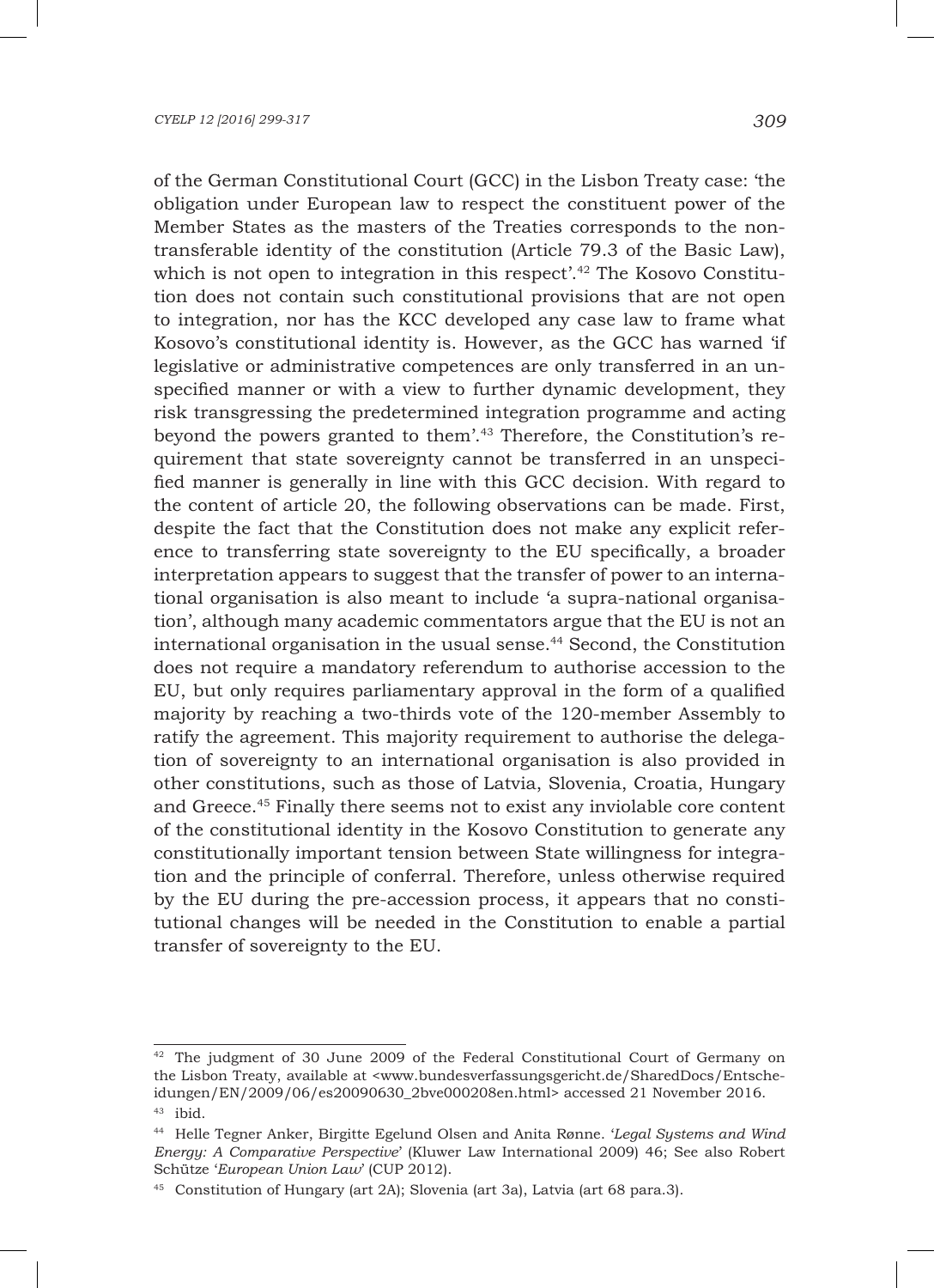of the German Constitutional Court (GCC) in the Lisbon Treaty case: 'the obligation under European law to respect the constituent power of the Member States as the masters of the Treaties corresponds to the nontransferable identity of the constitution (Article 79.3 of the Basic Law), which is not open to integration in this respect<sup>',42</sup> The Kosovo Constitution does not contain such constitutional provisions that are not open to integration, nor has the KCC developed any case law to frame what Kosovo's constitutional identity is. However, as the GCC has warned 'if legislative or administrative competences are only transferred in an unspecified manner or with a view to further dynamic development, they risk transgressing the predetermined integration programme and acting beyond the powers granted to them'.43 Therefore, the Constitution's requirement that state sovereignty cannot be transferred in an unspecified manner is generally in line with this GCC decision. With regard to the content of article 20, the following observations can be made. First, despite the fact that the Constitution does not make any explicit reference to transferring state sovereignty to the EU specifically, a broader interpretation appears to suggest that the transfer of power to an international organisation is also meant to include 'a supra-national organisation', although many academic commentators argue that the EU is not an international organisation in the usual sense.<sup>44</sup> Second, the Constitution does not require a mandatory referendum to authorise accession to the EU, but only requires parliamentary approval in the form of a qualified majority by reaching a two-thirds vote of the 120-member Assembly to ratify the agreement. This majority requirement to authorise the delegation of sovereignty to an international organisation is also provided in other constitutions, such as those of Latvia, Slovenia, Croatia, Hungary and Greece.45 Finally there seems not to exist any inviolable core content of the constitutional identity in the Kosovo Constitution to generate any constitutionally important tension between State willingness for integration and the principle of conferral. Therefore, unless otherwise required by the EU during the pre-accession process, it appears that no constitutional changes will be needed in the Constitution to enable a partial transfer of sovereignty to the EU.

 $42$  The judgment of 30 June 2009 of the Federal Constitutional Court of Germany on the Lisbon Treaty, available at <www.bundesverfassungsgericht.de/SharedDocs/Entscheidungen/EN/2009/06/es20090630\_2bve000208en.html> accessed 21 November 2016. <sup>43</sup> ibid.

<sup>44</sup> Helle Tegner Anker, Birgitte Egelund Olsen and Anita Rønne. '*Legal Systems and Wind Energy: A Comparative Perspective*' (Kluwer Law International 2009) 46; See also Robert Schütze '*European Union Law*' (CUP 2012).

<sup>45</sup> Constitution of Hungary (art 2A); Slovenia (art 3a), Latvia (art 68 para.3).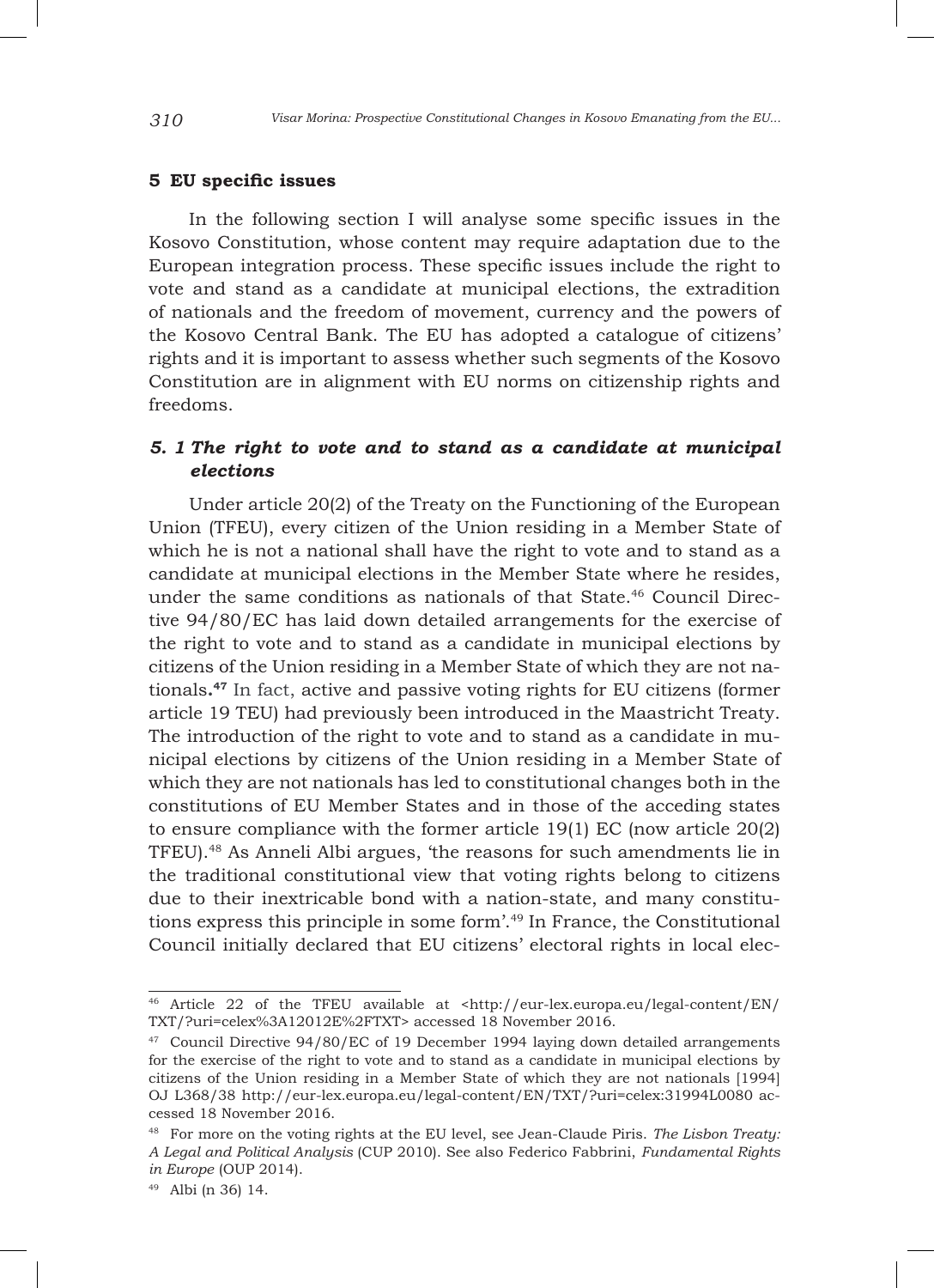### **5 EU specific issues**

In the following section I will analyse some specific issues in the Kosovo Constitution, whose content may require adaptation due to the European integration process. These specific issues include the right to vote and stand as a candidate at municipal elections, the extradition of nationals and the freedom of movement, currency and the powers of the Kosovo Central Bank. The EU has adopted a catalogue of citizens' rights and it is important to assess whether such segments of the Kosovo Constitution are in alignment with EU norms on citizenship rights and freedoms.

# *5. 1 The right to vote and to stand as a candidate at municipal elections*

Under article 20(2) of the Treaty on the Functioning of the European Union (TFEU), every citizen of the Union residing in a Member State of which he is not a national shall have the right to vote and to stand as a candidate at municipal elections in the Member State where he resides, under the same conditions as nationals of that State.46 Council Directive 94/80/EC has laid down detailed arrangements for the exercise of the right to vote and to stand as a candidate in municipal elections by citizens of the Union residing in a Member State of which they are not nationals**.47** In fact, active and passive voting rights for EU citizens (former article 19 TEU) had previously been introduced in the Maastricht Treaty. The introduction of the right to vote and to stand as a candidate in municipal elections by citizens of the Union residing in a Member State of which they are not nationals has led to constitutional changes both in the constitutions of EU Member States and in those of the acceding states to ensure compliance with the former article 19(1) EC (now article 20(2) TFEU).48 As Anneli Albi argues, 'the reasons for such amendments lie in the traditional constitutional view that voting rights belong to citizens due to their inextricable bond with a nation-state, and many constitutions express this principle in some form'.49 In France, the Constitutional Council initially declared that EU citizens' electoral rights in local elec-

<sup>46</sup> Article 22 of the TFEU available at <http://eur-lex.europa.eu/legal-content/EN/ TXT/?uri=celex%3A12012E%2FTXT> accessed 18 November 2016.

<sup>47</sup> Council Directive 94/80/EC of 19 December 1994 laying down detailed arrangements for the exercise of the right to vote and to stand as a candidate in municipal elections by citizens of the Union residing in a Member State of which they are not nationals [1994] OJ L368/38 http://eur-lex.europa.eu/legal-content/EN/TXT/?uri=celex:31994L0080 accessed 18 November 2016.

<sup>48</sup> For more on the voting rights at the EU level, see Jean-Claude Piris. *The Lisbon Treaty: A Legal and Political Analysis* (CUP 2010). See also Federico Fabbrini, *Fundamental Rights in Europe* (OUP 2014).

<sup>49</sup> Albi (n 36) 14.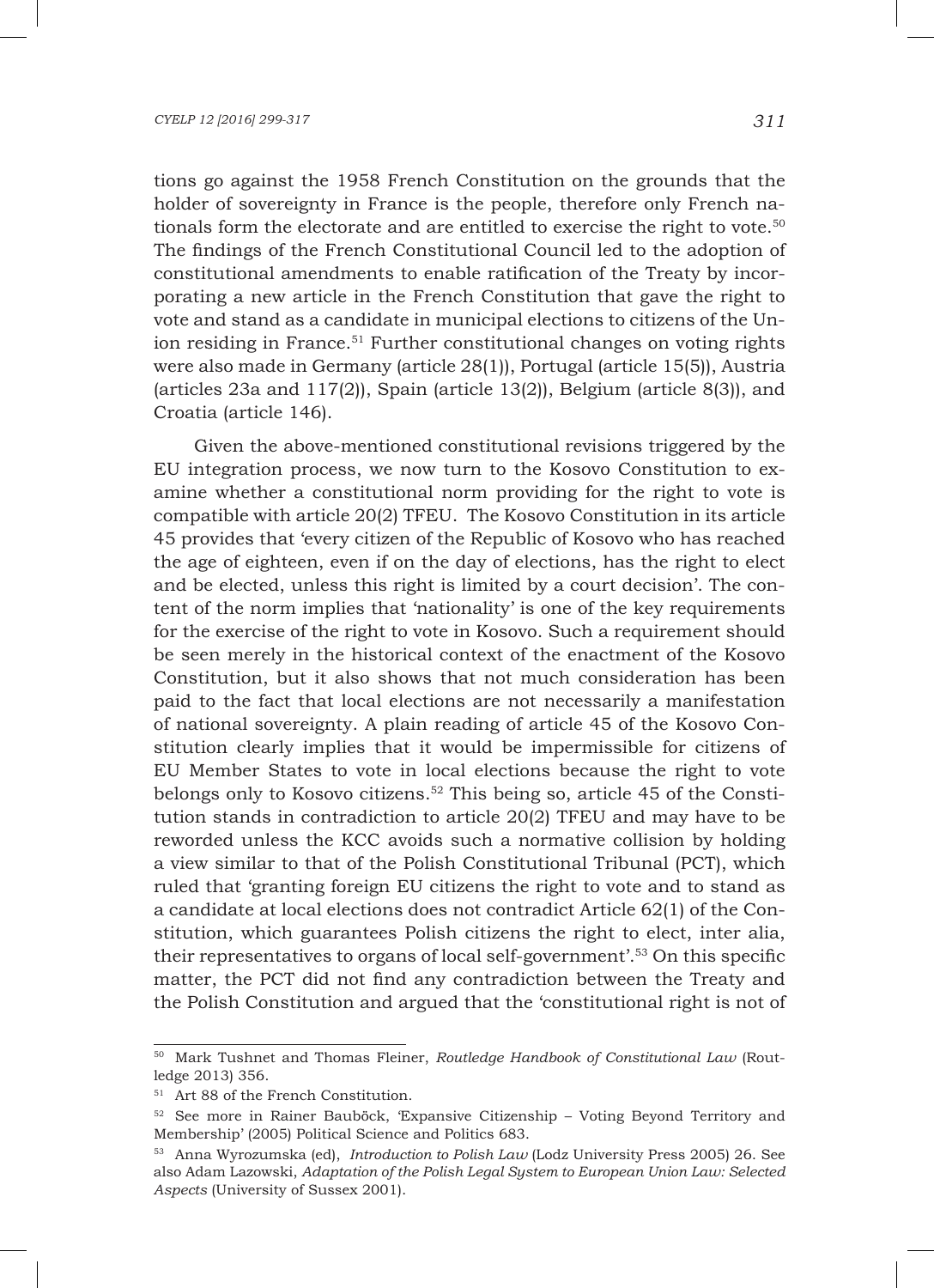tions go against the 1958 French Constitution on the grounds that the holder of sovereignty in France is the people, therefore only French nationals form the electorate and are entitled to exercise the right to vote.<sup>50</sup> The findings of the French Constitutional Council led to the adoption of constitutional amendments to enable ratification of the Treaty by incorporating a new article in the French Constitution that gave the right to vote and stand as a candidate in municipal elections to citizens of the Union residing in France.<sup>51</sup> Further constitutional changes on voting rights were also made in Germany (article 28(1)), Portugal (article 15(5)), Austria (articles 23a and 117(2)), Spain (article 13(2)), Belgium (article 8(3)), and Croatia (article 146).

Given the above-mentioned constitutional revisions triggered by the EU integration process, we now turn to the Kosovo Constitution to examine whether a constitutional norm providing for the right to vote is compatible with article 20(2) TFEU. The Kosovo Constitution in its article 45 provides that 'every citizen of the Republic of Kosovo who has reached the age of eighteen, even if on the day of elections, has the right to elect and be elected, unless this right is limited by a court decision'. The content of the norm implies that 'nationality' is one of the key requirements for the exercise of the right to vote in Kosovo. Such a requirement should be seen merely in the historical context of the enactment of the Kosovo Constitution, but it also shows that not much consideration has been paid to the fact that local elections are not necessarily a manifestation of national sovereignty. A plain reading of article 45 of the Kosovo Constitution clearly implies that it would be impermissible for citizens of EU Member States to vote in local elections because the right to vote belongs only to Kosovo citizens.52 This being so, article 45 of the Constitution stands in contradiction to article 20(2) TFEU and may have to be reworded unless the KCC avoids such a normative collision by holding a view similar to that of the Polish Constitutional Tribunal (PCT), which ruled that 'granting foreign EU citizens the right to vote and to stand as a candidate at local elections does not contradict Article 62(1) of the Constitution, which guarantees Polish citizens the right to elect, inter alia, their representatives to organs of local self-government'.53 On this specific matter, the PCT did not find any contradiction between the Treaty and the Polish Constitution and argued that the 'constitutional right is not of

<sup>50</sup> Mark Tushnet and Thomas Fleiner, *Routledge Handbook of Constitutional Law* (Routledge 2013) 356.

<sup>51</sup> Art 88 of the French Constitution.

<sup>52</sup> See more in Rainer Bauböck, 'Expansive Citizenship – Voting Beyond Territory and Membership' (2005) Political Science and Politics 683.

<sup>53</sup> Anna Wyrozumska (ed), *Introduction to Polish Law* (Lodz University Press 2005) 26. See also Adam Lazowski, *Adaptation of the Polish Legal System to European Union Law: Selected Aspects* (University of Sussex 2001).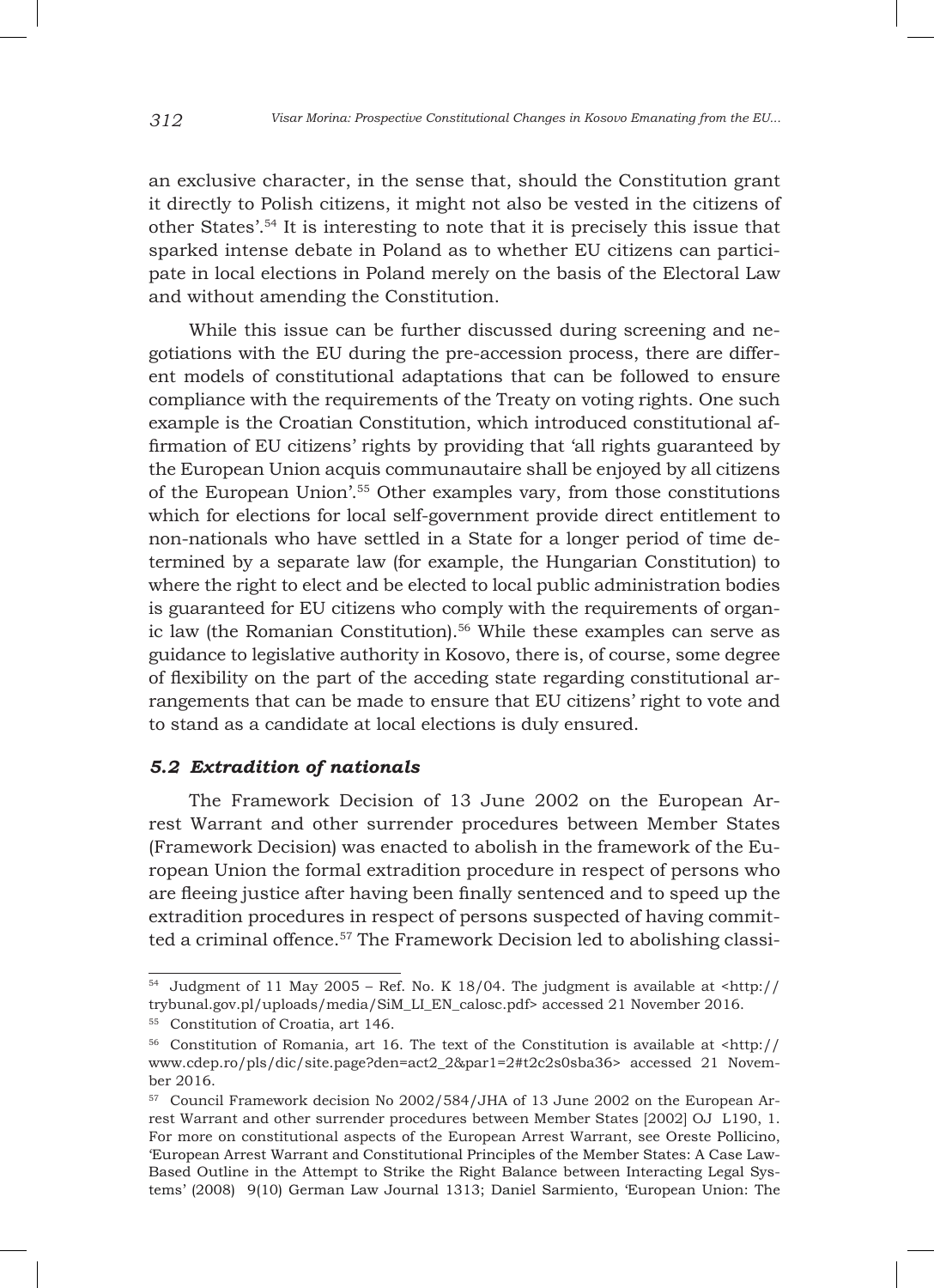an exclusive character, in the sense that, should the Constitution grant it directly to Polish citizens, it might not also be vested in the citizens of other States'.54 It is interesting to note that it is precisely this issue that sparked intense debate in Poland as to whether EU citizens can participate in local elections in Poland merely on the basis of the Electoral Law and without amending the Constitution.

While this issue can be further discussed during screening and negotiations with the EU during the pre-accession process, there are different models of constitutional adaptations that can be followed to ensure compliance with the requirements of the Treaty on voting rights. One such example is the Croatian Constitution, which introduced constitutional affirmation of EU citizens' rights by providing that 'all rights guaranteed by the European Union acquis communautaire shall be enjoyed by all citizens of the European Union'.55 Other examples vary, from those constitutions which for elections for local self-government provide direct entitlement to non-nationals who have settled in a State for a longer period of time determined by a separate law (for example, the Hungarian Constitution) to where the right to elect and be elected to local public administration bodies is guaranteed for EU citizens who comply with the requirements of organic law (the Romanian Constitution).<sup>56</sup> While these examples can serve as guidance to legislative authority in Kosovo, there is, of course, some degree of flexibility on the part of the acceding state regarding constitutional arrangements that can be made to ensure that EU citizens' right to vote and to stand as a candidate at local elections is duly ensured.

### *5.2 Extradition of nationals*

The Framework Decision of 13 June 2002 on the European Arrest Warrant and other surrender procedures between Member States (Framework Decision) was enacted to abolish in the framework of the European Union the formal extradition procedure in respect of persons who are fleeing justice after having been finally sentenced and to speed up the extradition procedures in respect of persons suspected of having committed a criminal offence.<sup>57</sup> The Framework Decision led to abolishing classi-

 $54$  Judgment of 11 May 2005 – Ref. No. K 18/04. The judgment is available at <http:// trybunal.gov.pl/uploads/media/SiM\_LI\_EN\_calosc.pdf> accessed 21 November 2016.

<sup>55</sup> Constitution of Croatia, art 146.

 $56$  Constitution of Romania, art 16. The text of the Constitution is available at  $\langle$ http:// www.cdep.ro/pls/dic/site.page?den=act2\_2&par1=2#t2c2s0sba36> accessed 21 November 2016.

<sup>57</sup> Council Framework decision No 2002/584/JHA of 13 June 2002 on the European Arrest Warrant and other surrender procedures between Member States [2002] OJ L190, 1. For more on constitutional aspects of the European Arrest Warrant, see Oreste Pollicino, 'European Arrest Warrant and Constitutional Principles of the Member States: A Case Law-Based Outline in the Attempt to Strike the Right Balance between Interacting Legal Systems' (2008) 9(10) German Law Journal 1313; Daniel Sarmiento, 'European Union: The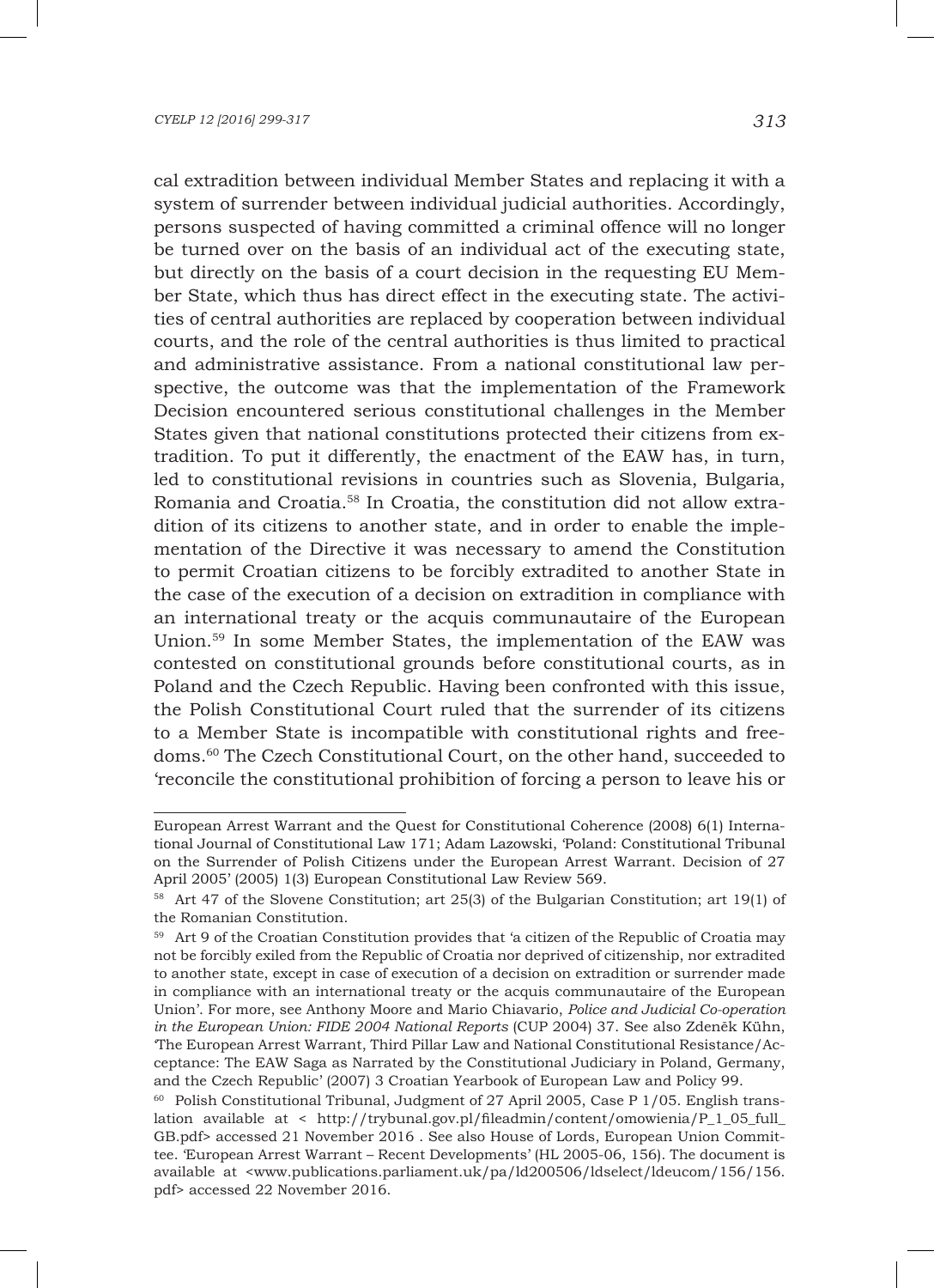cal extradition between individual Member States and replacing it with a system of surrender between individual judicial authorities. Accordingly, persons suspected of having committed a criminal offence will no longer be turned over on the basis of an individual act of the executing state, but directly on the basis of a court decision in the requesting EU Member State, which thus has direct effect in the executing state. The activities of central authorities are replaced by cooperation between individual courts, and the role of the central authorities is thus limited to practical and administrative assistance. From a national constitutional law perspective, the outcome was that the implementation of the Framework Decision encountered serious constitutional challenges in the Member States given that national constitutions protected their citizens from extradition. To put it differently, the enactment of the EAW has, in turn, led to constitutional revisions in countries such as Slovenia, Bulgaria, Romania and Croatia.58 In Croatia, the constitution did not allow extradition of its citizens to another state, and in order to enable the implementation of the Directive it was necessary to amend the Constitution to permit Croatian citizens to be forcibly extradited to another State in the case of the execution of a decision on extradition in compliance with an international treaty or the acquis communautaire of the European Union.59 In some Member States, the implementation of the EAW was contested on constitutional grounds before constitutional courts, as in Poland and the Czech Republic. Having been confronted with this issue, the Polish Constitutional Court ruled that the surrender of its citizens to a Member State is incompatible with constitutional rights and freedoms.60 The Czech Constitutional Court, on the other hand, succeeded to 'reconcile the constitutional prohibition of forcing a person to leave his or

European Arrest Warrant and the Quest for Constitutional Coherence (2008) 6(1) International Journal of Constitutional Law 171; Adam Lazowski, 'Poland: Constitutional Tribunal on the Surrender of Polish Citizens under the European Arrest Warrant. Decision of 27 April 2005' (2005) 1(3) European Constitutional Law Review 569.

<sup>58</sup> Art 47 of the Slovene Constitution; art 25(3) of the Bulgarian Constitution; art 19(1) of the Romanian Constitution.

<sup>59</sup> Art 9 of the Croatian Constitution provides that 'a citizen of the Republic of Croatia may not be forcibly exiled from the Republic of Croatia nor deprived of citizenship, nor extradited to another state, except in case of execution of a decision on extradition or surrender made in compliance with an international treaty or the acquis communautaire of the European Union'. For more, see Anthony Moore and Mario Chiavario, *Police and Judicial Co-operation in the European Union: FIDE 2004 National Reports* (CUP 2004) 37. See also Zdeněk Kühn, 'The European Arrest Warrant, Third Pillar Law and National Constitutional Resistance/Acceptance: The EAW Saga as Narrated by the Constitutional Judiciary in Poland, Germany, and the Czech Republic' (2007) 3 Croatian Yearbook of European Law and Policy 99.

 $60$  Polish Constitutional Tribunal, Judgment of 27 April 2005, Case P 1/05. English translation available at < http://trybunal.gov.pl/fileadmin/content/omowienia/P\_1\_05\_full\_ GB.pdf> accessed 21 November 2016 . See also House of Lords, European Union Committee. 'European Arrest Warrant – Recent Developments' (HL 2005-06, 156). The document is available at <www.publications.parliament.uk/pa/ld200506/ldselect/ldeucom/156/156. pdf> accessed 22 November 2016.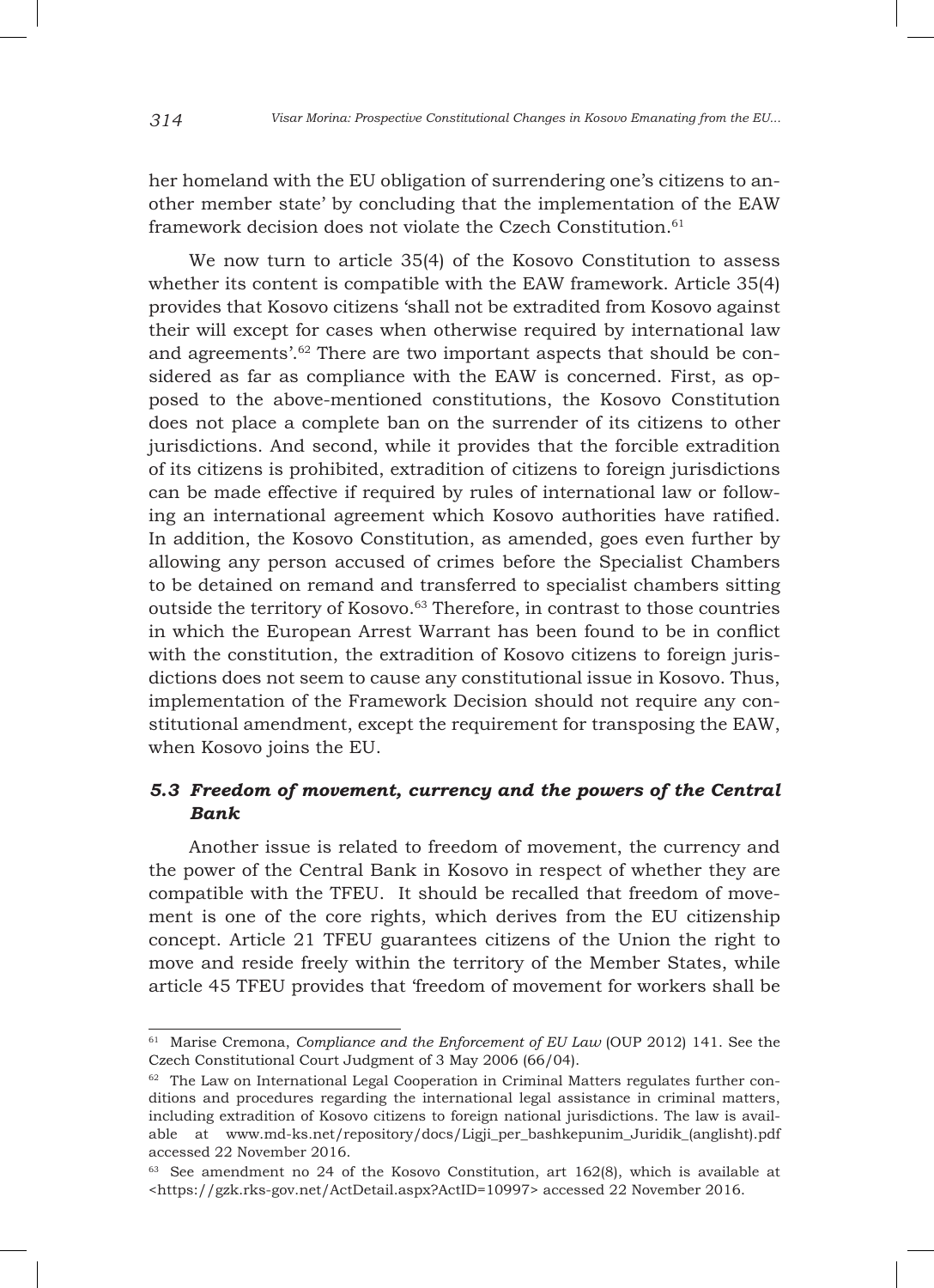her homeland with the EU obligation of surrendering one's citizens to another member state' by concluding that the implementation of the EAW framework decision does not violate the Czech Constitution.<sup>61</sup>

We now turn to article 35(4) of the Kosovo Constitution to assess whether its content is compatible with the EAW framework. Article 35(4) provides that Kosovo citizens 'shall not be extradited from Kosovo against their will except for cases when otherwise required by international law and agreements'.<sup>62</sup> There are two important aspects that should be considered as far as compliance with the EAW is concerned. First, as opposed to the above-mentioned constitutions, the Kosovo Constitution does not place a complete ban on the surrender of its citizens to other jurisdictions. And second, while it provides that the forcible extradition of its citizens is prohibited, extradition of citizens to foreign jurisdictions can be made effective if required by rules of international law or following an international agreement which Kosovo authorities have ratified. In addition, the Kosovo Constitution, as amended, goes even further by allowing any person accused of crimes before the Specialist Chambers to be detained on remand and transferred to specialist chambers sitting outside the territory of Kosovo.63 Therefore, in contrast to those countries in which the European Arrest Warrant has been found to be in conflict with the constitution, the extradition of Kosovo citizens to foreign jurisdictions does not seem to cause any constitutional issue in Kosovo. Thus, implementation of the Framework Decision should not require any constitutional amendment, except the requirement for transposing the EAW, when Kosovo joins the EU.

# *5.3 Freedom of movement, currency and the powers of the Central Bank*

Another issue is related to freedom of movement, the currency and the power of the Central Bank in Kosovo in respect of whether they are compatible with the TFEU. It should be recalled that freedom of movement is one of the core rights, which derives from the EU citizenship concept. Article 21 TFEU guarantees citizens of the Union the right to move and reside freely within the territory of the Member States, while article 45 TFEU provides that 'freedom of movement for workers shall be

<sup>61</sup> Marise Cremona, *Compliance and the Enforcement of EU Law* (OUP 2012) 141. See the Czech Constitutional Court Judgment of 3 May 2006 (66/04).

 $62$  The Law on International Legal Cooperation in Criminal Matters regulates further conditions and procedures regarding the international legal assistance in criminal matters, including extradition of Kosovo citizens to foreign national jurisdictions. The law is available at www.md-ks.net/repository/docs/Ligji\_per\_bashkepunim\_Juridik\_(anglisht).pdf accessed 22 November 2016.

 $63$  See amendment no 24 of the Kosovo Constitution, art 162(8), which is available at <https://gzk.rks-gov.net/ActDetail.aspx?ActID=10997> accessed 22 November 2016.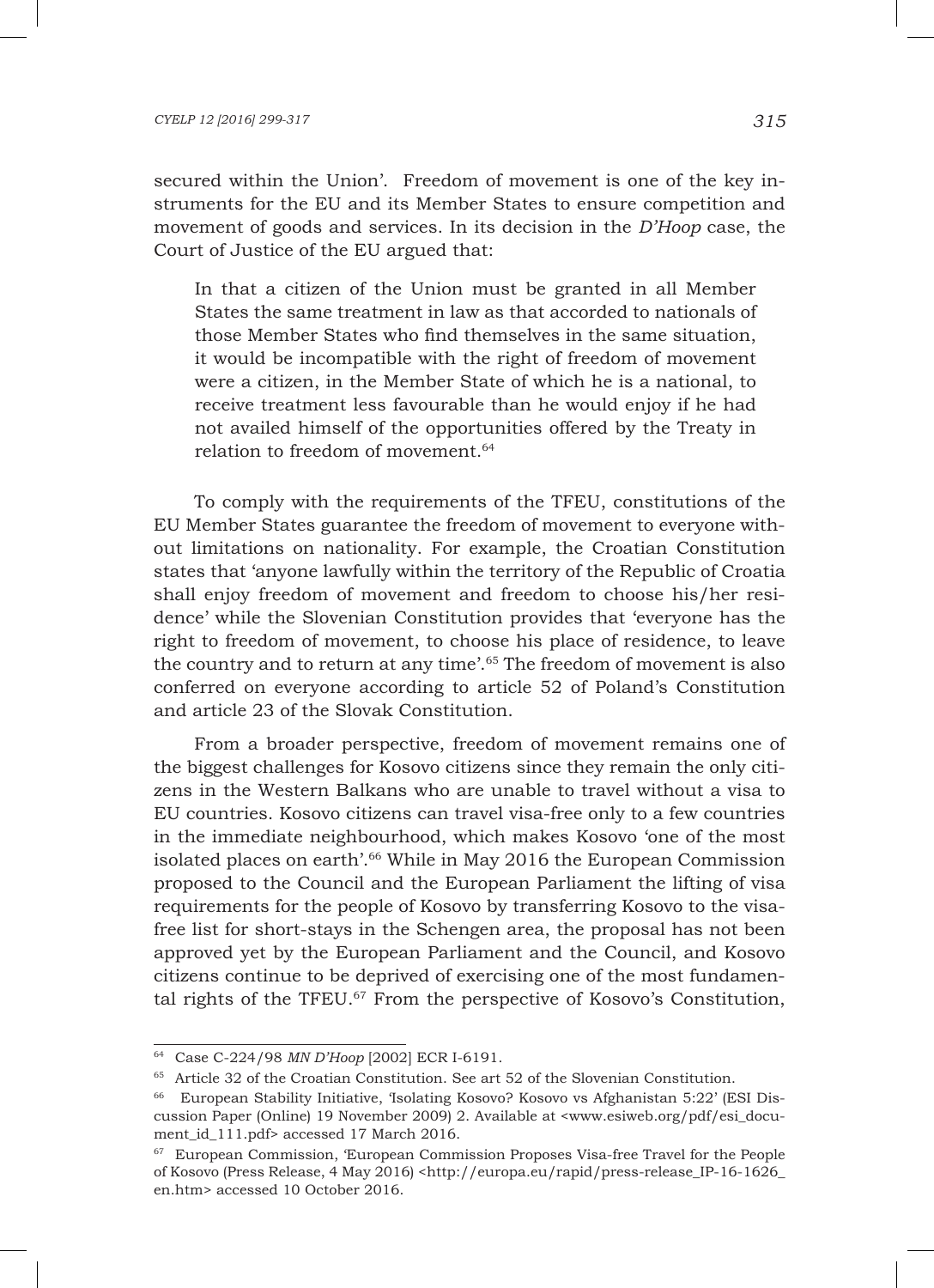#### *CYELP 12 [2016] 299-317 315*

secured within the Union'. Freedom of movement is one of the key instruments for the EU and its Member States to ensure competition and movement of goods and services. In its decision in the *D'Hoop* case, the Court of Justice of the EU argued that:

In that a citizen of the Union must be granted in all Member States the same treatment in law as that accorded to nationals of those Member States who find themselves in the same situation, it would be incompatible with the right of freedom of movement were a citizen, in the Member State of which he is a national, to receive treatment less favourable than he would enjoy if he had not availed himself of the opportunities offered by the Treaty in relation to freedom of movement.64

To comply with the requirements of the TFEU, constitutions of the EU Member States guarantee the freedom of movement to everyone without limitations on nationality. For example, the Croatian Constitution states that 'anyone lawfully within the territory of the Republic of Croatia shall enjoy freedom of movement and freedom to choose his/her residence' while the Slovenian Constitution provides that 'everyone has the right to freedom of movement, to choose his place of residence, to leave the country and to return at any time'.65 The freedom of movement is also conferred on everyone according to article 52 of Poland's Constitution and article 23 of the Slovak Constitution.

From a broader perspective, freedom of movement remains one of the biggest challenges for Kosovo citizens since they remain the only citizens in the Western Balkans who are unable to travel without a visa to EU countries. Kosovo citizens can travel visa-free only to a few countries in the immediate neighbourhood, which makes Kosovo 'one of the most isolated places on earth'.66 While in May 2016 the European Commission proposed to the Council and the European Parliament the lifting of visa requirements for the people of Kosovo by transferring Kosovo to the visafree list for short-stays in the Schengen area, the proposal has not been approved yet by the European Parliament and the Council, and Kosovo citizens continue to be deprived of exercising one of the most fundamental rights of the TFEU.<sup>67</sup> From the perspective of Kosovo's Constitution,

<sup>64</sup> Case C-224/98 *MN D'Hoop* [2002] ECR I-6191.

<sup>65</sup> Article 32 of the Croatian Constitution. See art 52 of the Slovenian Constitution.

<sup>66</sup> European Stability Initiative, 'Isolating Kosovo? Kosovo vs Afghanistan 5:22' (ESI Discussion Paper (Online) 19 November 2009) 2. Available at <www.esiweb.org/pdf/esi\_document id 111.pdf> accessed 17 March 2016.

<sup>67</sup> European Commission, 'European Commission Proposes Visa-free Travel for the People of Kosovo (Press Release, 4 May 2016) <http://europa.eu/rapid/press-release\_IP-16-1626\_ en.htm> accessed 10 October 2016.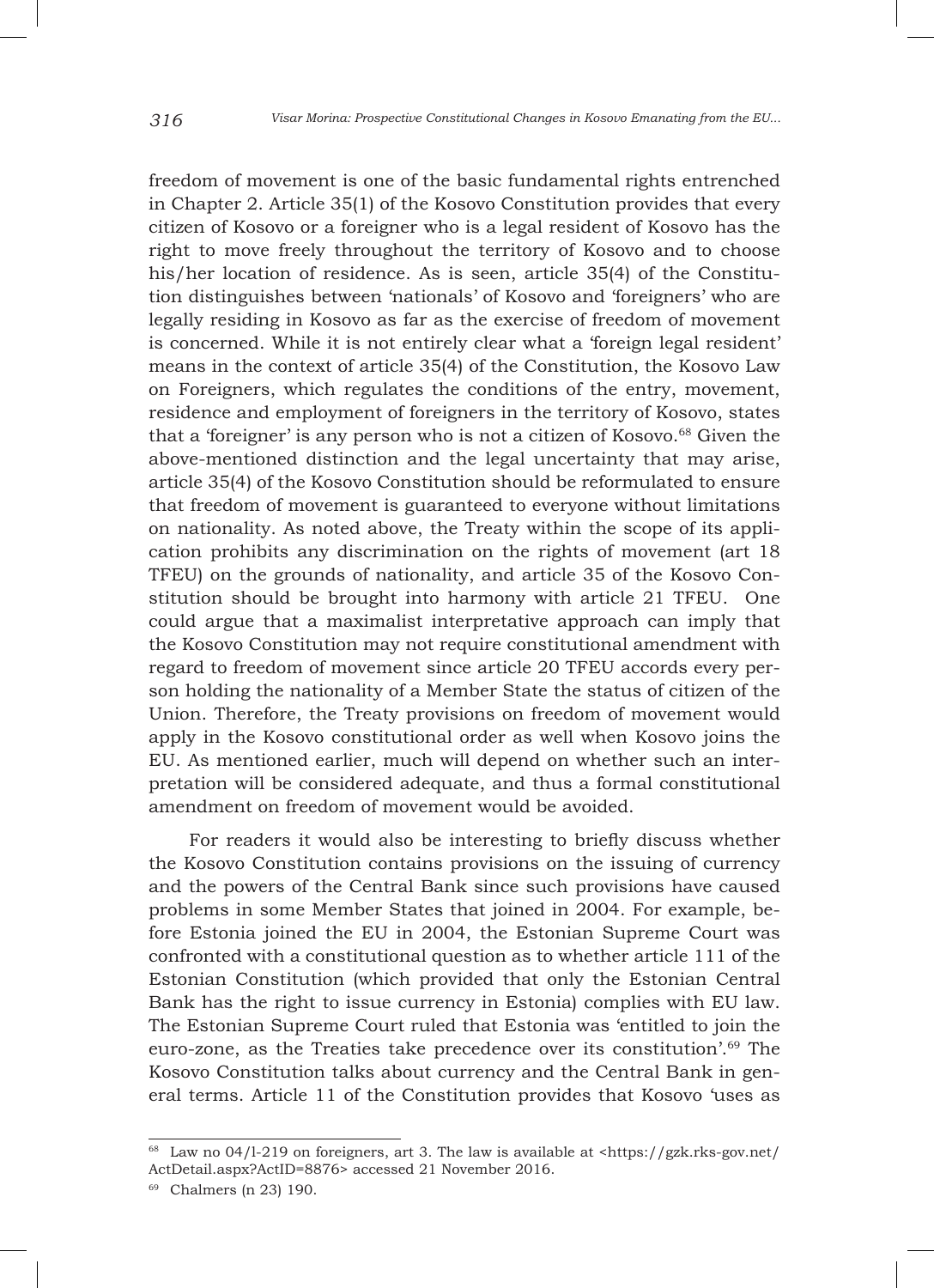freedom of movement is one of the basic fundamental rights entrenched in Chapter 2. Article 35(1) of the Kosovo Constitution provides that every citizen of Kosovo or a foreigner who is a legal resident of Kosovo has the right to move freely throughout the territory of Kosovo and to choose his/her location of residence. As is seen, article 35(4) of the Constitution distinguishes between 'nationals' of Kosovo and 'foreigners' who are legally residing in Kosovo as far as the exercise of freedom of movement is concerned. While it is not entirely clear what a 'foreign legal resident' means in the context of article 35(4) of the Constitution, the Kosovo Law on Foreigners, which regulates the conditions of the entry, movement, residence and employment of foreigners in the territory of Kosovo, states that a 'foreigner' is any person who is not a citizen of Kosovo.<sup>68</sup> Given the above-mentioned distinction and the legal uncertainty that may arise, article 35(4) of the Kosovo Constitution should be reformulated to ensure that freedom of movement is guaranteed to everyone without limitations on nationality. As noted above, the Treaty within the scope of its application prohibits any discrimination on the rights of movement (art 18 TFEU) on the grounds of nationality, and article 35 of the Kosovo Constitution should be brought into harmony with article 21 TFEU. One could argue that a maximalist interpretative approach can imply that the Kosovo Constitution may not require constitutional amendment with regard to freedom of movement since article 20 TFEU accords every person holding the nationality of a Member State the status of citizen of the Union. Therefore, the Treaty provisions on freedom of movement would apply in the Kosovo constitutional order as well when Kosovo joins the EU. As mentioned earlier, much will depend on whether such an interpretation will be considered adequate, and thus a formal constitutional amendment on freedom of movement would be avoided.

For readers it would also be interesting to briefly discuss whether the Kosovo Constitution contains provisions on the issuing of currency and the powers of the Central Bank since such provisions have caused problems in some Member States that joined in 2004. For example, before Estonia joined the EU in 2004, the Estonian Supreme Court was confronted with a constitutional question as to whether article 111 of the Estonian Constitution (which provided that only the Estonian Central Bank has the right to issue currency in Estonia) complies with EU law. The Estonian Supreme Court ruled that Estonia was 'entitled to join the euro-zone, as the Treaties take precedence over its constitution'.69 The Kosovo Constitution talks about currency and the Central Bank in general terms. Article 11 of the Constitution provides that Kosovo 'uses as

<sup>68</sup> Law no 04/l-219 on foreigners, art 3. The law is available at <https://gzk.rks-gov.net/ ActDetail.aspx?ActID=8876> accessed 21 November 2016.

<sup>69</sup> Chalmers (n 23) 190.